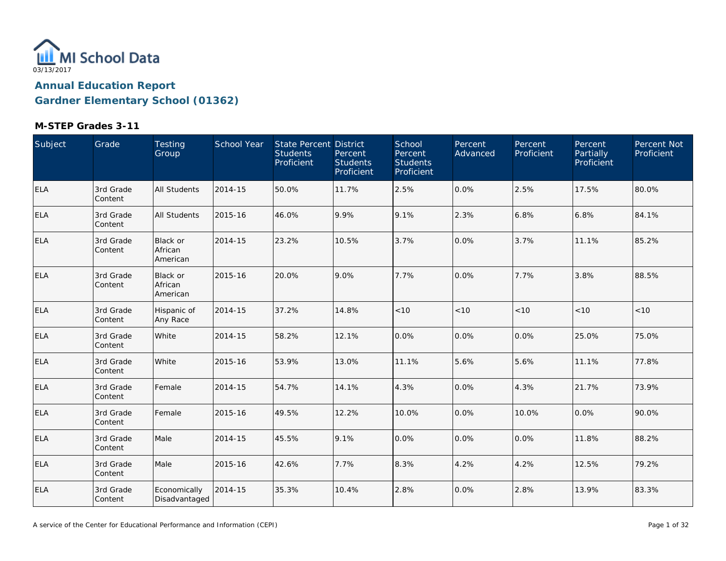

| Subject    | Grade                | Testing<br>Group                       | School Year | State Percent District<br><b>Students</b><br>Proficient | Percent<br><b>Students</b><br>Proficient | School<br>Percent<br><b>Students</b><br>Proficient | Percent<br>Advanced | Percent<br>Proficient | Percent<br>Partially<br>Proficient | Percent Not<br>Proficient |
|------------|----------------------|----------------------------------------|-------------|---------------------------------------------------------|------------------------------------------|----------------------------------------------------|---------------------|-----------------------|------------------------------------|---------------------------|
| <b>ELA</b> | 3rd Grade<br>Content | <b>All Students</b>                    | 2014-15     | 50.0%                                                   | 11.7%                                    | 2.5%                                               | 0.0%                | 2.5%                  | 17.5%                              | 80.0%                     |
| <b>ELA</b> | 3rd Grade<br>Content | <b>All Students</b>                    | 2015-16     | 46.0%                                                   | 9.9%                                     | 9.1%                                               | 2.3%                | 6.8%                  | 6.8%                               | 84.1%                     |
| <b>ELA</b> | 3rd Grade<br>Content | <b>Black or</b><br>African<br>American | 2014-15     | 23.2%                                                   | 10.5%                                    | 3.7%                                               | 0.0%                | 3.7%                  | 11.1%                              | 85.2%                     |
| ELA        | 3rd Grade<br>Content | Black or<br>African<br>American        | 2015-16     | 20.0%                                                   | 9.0%                                     | 7.7%                                               | 0.0%                | 7.7%                  | 3.8%                               | 88.5%                     |
| <b>ELA</b> | 3rd Grade<br>Content | Hispanic of<br>Any Race                | 2014-15     | 37.2%                                                   | 14.8%                                    | $<10$                                              | < 10                | < 10                  | < 10                               | < 10                      |
| <b>ELA</b> | 3rd Grade<br>Content | White                                  | 2014-15     | 58.2%                                                   | 12.1%                                    | 0.0%                                               | 0.0%                | 0.0%                  | 25.0%                              | 75.0%                     |
| <b>ELA</b> | 3rd Grade<br>Content | White                                  | 2015-16     | 53.9%                                                   | 13.0%                                    | 11.1%                                              | 5.6%                | 5.6%                  | 11.1%                              | 77.8%                     |
| <b>ELA</b> | 3rd Grade<br>Content | Female                                 | 2014-15     | 54.7%                                                   | 14.1%                                    | 4.3%                                               | 0.0%                | 4.3%                  | 21.7%                              | 73.9%                     |
| <b>ELA</b> | 3rd Grade<br>Content | Female                                 | 2015-16     | 49.5%                                                   | 12.2%                                    | 10.0%                                              | 0.0%                | 10.0%                 | 0.0%                               | 90.0%                     |
| <b>ELA</b> | 3rd Grade<br>Content | Male                                   | 2014-15     | 45.5%                                                   | 9.1%                                     | 0.0%                                               | 0.0%                | 0.0%                  | 11.8%                              | 88.2%                     |
| <b>ELA</b> | 3rd Grade<br>Content | Male                                   | 2015-16     | 42.6%                                                   | 7.7%                                     | 8.3%                                               | 4.2%                | 4.2%                  | 12.5%                              | 79.2%                     |
| <b>ELA</b> | 3rd Grade<br>Content | Economically<br>Disadvantaged          | 2014-15     | 35.3%                                                   | 10.4%                                    | 2.8%                                               | 0.0%                | 2.8%                  | 13.9%                              | 83.3%                     |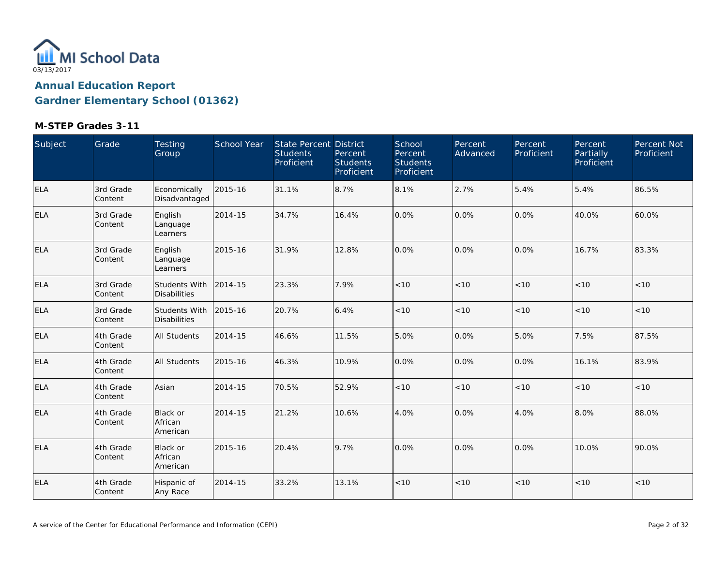

| Subject    | Grade                | <b>Testing</b><br>Group                     | <b>School Year</b> | State Percent District<br><b>Students</b><br>Proficient | Percent<br><b>Students</b><br>Proficient | School<br>Percent<br><b>Students</b><br>Proficient | Percent<br>Advanced | Percent<br>Proficient | Percent<br>Partially<br>Proficient | Percent Not<br>Proficient |
|------------|----------------------|---------------------------------------------|--------------------|---------------------------------------------------------|------------------------------------------|----------------------------------------------------|---------------------|-----------------------|------------------------------------|---------------------------|
| <b>ELA</b> | 3rd Grade<br>Content | Economically<br>Disadvantaged               | 2015-16            | 31.1%                                                   | 8.7%                                     | 8.1%                                               | 2.7%                | 5.4%                  | 5.4%                               | 86.5%                     |
| <b>ELA</b> | 3rd Grade<br>Content | English<br>Language<br>Learners             | 2014-15            | 34.7%                                                   | 16.4%                                    | 0.0%                                               | 0.0%                | $0.0\%$               | 40.0%                              | 60.0%                     |
| <b>ELA</b> | 3rd Grade<br>Content | English<br>Language<br>Learners             | 2015-16            | 31.9%                                                   | 12.8%                                    | 0.0%                                               | 0.0%                | $0.0\%$               | 16.7%                              | 83.3%                     |
| <b>ELA</b> | 3rd Grade<br>Content | <b>Students With</b><br><b>Disabilities</b> | 2014-15            | 23.3%                                                   | 7.9%                                     | < 10                                               | < 10                | < 10                  | < 10                               | < 10                      |
| <b>ELA</b> | 3rd Grade<br>Content | Students With<br><b>Disabilities</b>        | 2015-16            | 20.7%                                                   | 6.4%                                     | < 10                                               | < 10                | < 10                  | < 10                               | < 10                      |
| <b>ELA</b> | 4th Grade<br>Content | All Students                                | 2014-15            | 46.6%                                                   | 11.5%                                    | 5.0%                                               | 0.0%                | 5.0%                  | 7.5%                               | 87.5%                     |
| <b>ELA</b> | 4th Grade<br>Content | All Students                                | 2015-16            | 46.3%                                                   | 10.9%                                    | 0.0%                                               | 0.0%                | 0.0%                  | 16.1%                              | 83.9%                     |
| <b>ELA</b> | 4th Grade<br>Content | Asian                                       | 2014-15            | 70.5%                                                   | 52.9%                                    | < 10                                               | < 10                | < 10                  | < 10                               | < 10                      |
| <b>ELA</b> | 4th Grade<br>Content | Black or<br>African<br>American             | 2014-15            | 21.2%                                                   | 10.6%                                    | 4.0%                                               | 0.0%                | 4.0%                  | 8.0%                               | 88.0%                     |
| ELA        | 4th Grade<br>Content | <b>Black or</b><br>African<br>American      | 2015-16            | 20.4%                                                   | 9.7%                                     | 0.0%                                               | 0.0%                | 0.0%                  | 10.0%                              | 90.0%                     |
| <b>ELA</b> | 4th Grade<br>Content | Hispanic of<br>Any Race                     | 2014-15            | 33.2%                                                   | 13.1%                                    | $<10$                                              | $<10$               | $<10$                 | < 10                               | $<10$                     |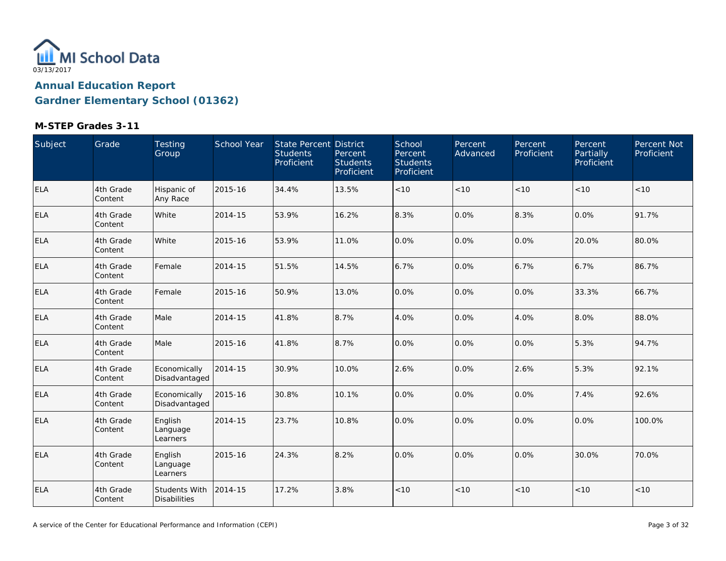

| Subject    | Grade                 | Testing<br>Group                     | School Year | State Percent District<br><b>Students</b><br>Proficient | Percent<br><b>Students</b><br>Proficient | School<br>Percent<br><b>Students</b><br>Proficient | Percent<br>Advanced | Percent<br>Proficient | Percent<br>Partially<br>Proficient | Percent Not<br>Proficient |
|------------|-----------------------|--------------------------------------|-------------|---------------------------------------------------------|------------------------------------------|----------------------------------------------------|---------------------|-----------------------|------------------------------------|---------------------------|
| <b>ELA</b> | 4th Grade<br>Content  | Hispanic of<br>Any Race              | 2015-16     | 34.4%                                                   | 13.5%                                    | $<10$                                              | < 10                | < 10                  | < 10                               | $<10$                     |
| ELA        | 4th Grade<br>Content  | White                                | 2014-15     | 53.9%                                                   | 16.2%                                    | 8.3%                                               | 0.0%                | 8.3%                  | 0.0%                               | 91.7%                     |
| <b>ELA</b> | 4th Grade<br>Content  | White                                | 2015-16     | 53.9%                                                   | 11.0%                                    | 0.0%                                               | 0.0%                | 0.0%                  | 20.0%                              | 80.0%                     |
| <b>ELA</b> | 4th Grade<br>Content  | Female                               | 2014-15     | 51.5%                                                   | 14.5%                                    | 6.7%                                               | 0.0%                | 6.7%                  | 6.7%                               | 86.7%                     |
| <b>ELA</b> | 4th Grade<br>Content  | Female                               | 2015-16     | 50.9%                                                   | 13.0%                                    | 0.0%                                               | 0.0%                | 0.0%                  | 33.3%                              | 66.7%                     |
| <b>ELA</b> | 4th Grade<br>Content  | Male                                 | 2014-15     | 41.8%                                                   | 8.7%                                     | 4.0%                                               | 0.0%                | 4.0%                  | 8.0%                               | 88.0%                     |
| ELA        | 4th Grade<br>Content  | Male                                 | 2015-16     | 41.8%                                                   | 8.7%                                     | 0.0%                                               | 0.0%                | 0.0%                  | 5.3%                               | 94.7%                     |
| <b>ELA</b> | 4th Grade<br>Content  | Economically<br>Disadvantaged        | 2014-15     | 30.9%                                                   | 10.0%                                    | 2.6%                                               | 0.0%                | 2.6%                  | 5.3%                               | 92.1%                     |
| <b>ELA</b> | 4th Grade<br>Content  | Economically<br>Disadvantaged        | 2015-16     | 30.8%                                                   | 10.1%                                    | 0.0%                                               | 0.0%                | 0.0%                  | 7.4%                               | 92.6%                     |
| <b>ELA</b> | 4th Grade<br>Content  | English<br>Language<br>Learners      | 2014-15     | 23.7%                                                   | 10.8%                                    | 0.0%                                               | 0.0%                | 0.0%                  | 0.0%                               | 100.0%                    |
| <b>ELA</b> | 4th Grade<br>Content  | English<br>Language<br>Learners      | 2015-16     | 24.3%                                                   | 8.2%                                     | 0.0%                                               | 0.0%                | 0.0%                  | 30.0%                              | 70.0%                     |
| ELA        | 4th Grade<br> Content | Students With<br><b>Disabilities</b> | 2014-15     | 17.2%                                                   | 3.8%                                     | $<10$                                              | <10                 | < 10                  | < 10                               | $<10$                     |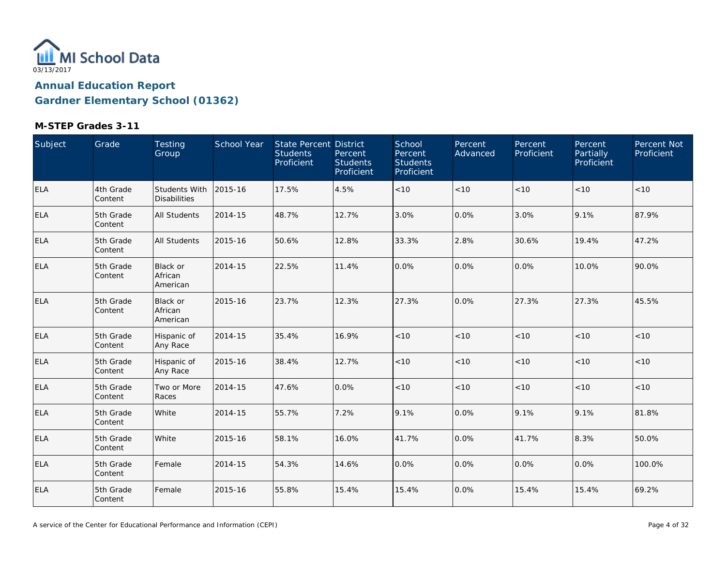

| Subject    | Grade                 | Testing<br>Group                       | School Year | State Percent District<br><b>Students</b><br>Proficient | Percent<br><b>Students</b><br>Proficient | School<br>Percent<br><b>Students</b><br>Proficient | Percent<br>Advanced | Percent<br>Proficient | Percent<br>Partially<br>Proficient | Percent Not<br>Proficient |
|------------|-----------------------|----------------------------------------|-------------|---------------------------------------------------------|------------------------------------------|----------------------------------------------------|---------------------|-----------------------|------------------------------------|---------------------------|
| ELA        | 4th Grade<br>Content  | Students With<br><b>Disabilities</b>   | 2015-16     | 17.5%                                                   | 4.5%                                     | < 10                                               | < 10                | < 10                  | < 10                               | < 10                      |
| <b>ELA</b> | 5th Grade<br>Content  | <b>All Students</b>                    | 2014-15     | 48.7%                                                   | 12.7%                                    | 3.0%                                               | 0.0%                | 3.0%                  | 9.1%                               | 87.9%                     |
| <b>ELA</b> | 5th Grade<br>Content  | <b>All Students</b>                    | 2015-16     | 50.6%                                                   | 12.8%                                    | 33.3%                                              | 2.8%                | 30.6%                 | 19.4%                              | 47.2%                     |
| <b>ELA</b> | 5th Grade<br>Content  | <b>Black or</b><br>African<br>American | 2014-15     | 22.5%                                                   | 11.4%                                    | 0.0%                                               | 0.0%                | 0.0%                  | 10.0%                              | 90.0%                     |
| <b>ELA</b> | 5th Grade<br>Content  | Black or<br>African<br>American        | 2015-16     | 23.7%                                                   | 12.3%                                    | 27.3%                                              | 0.0%                | 27.3%                 | 27.3%                              | 45.5%                     |
| <b>ELA</b> | 5th Grade<br>Content  | Hispanic of<br>Any Race                | 2014-15     | 35.4%                                                   | 16.9%                                    | $<10$                                              | < 10                | < 10                  | < 10                               | < 10                      |
| <b>ELA</b> | 5th Grade<br>Content  | Hispanic of<br>Any Race                | 2015-16     | 38.4%                                                   | 12.7%                                    | $<10$                                              | $<10$               | < 10                  | < 10                               | < 10                      |
| <b>ELA</b> | 5th Grade<br> Content | Two or More<br>Races                   | 2014-15     | 47.6%                                                   | 0.0%                                     | $<10$                                              | $<10$               | < 10                  | < 10                               | $<10$                     |
| <b>ELA</b> | 5th Grade<br>Content  | White                                  | 2014-15     | 55.7%                                                   | 7.2%                                     | 9.1%                                               | 0.0%                | 9.1%                  | 9.1%                               | 81.8%                     |
| <b>ELA</b> | 5th Grade<br>Content  | White                                  | 2015-16     | 58.1%                                                   | 16.0%                                    | 41.7%                                              | 0.0%                | 41.7%                 | 8.3%                               | 50.0%                     |
| <b>ELA</b> | 5th Grade<br>Content  | Female                                 | 2014-15     | 54.3%                                                   | 14.6%                                    | 0.0%                                               | 0.0%                | 0.0%                  | 0.0%                               | 100.0%                    |
| <b>ELA</b> | 5th Grade<br>Content  | Female                                 | 2015-16     | 55.8%                                                   | 15.4%                                    | 15.4%                                              | 0.0%                | 15.4%                 | 15.4%                              | 69.2%                     |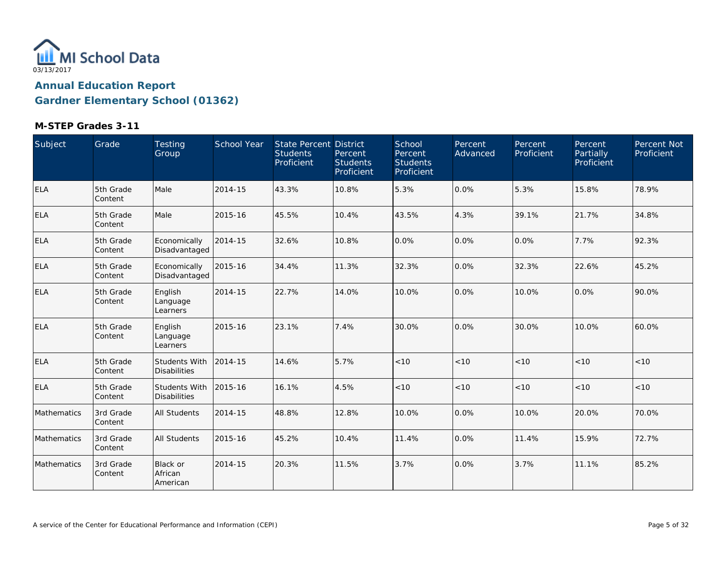

| Subject     | Grade                | Testing<br>Group                            | School Year | <b>State Percent District</b><br><b>Students</b><br>Proficient | Percent<br><b>Students</b><br>Proficient | School<br>Percent<br><b>Students</b><br>Proficient | Percent<br>Advanced | Percent<br>Proficient | Percent<br>Partially<br>Proficient | Percent Not<br>Proficient |
|-------------|----------------------|---------------------------------------------|-------------|----------------------------------------------------------------|------------------------------------------|----------------------------------------------------|---------------------|-----------------------|------------------------------------|---------------------------|
| <b>ELA</b>  | 5th Grade<br>Content | Male                                        | 2014-15     | 43.3%                                                          | 10.8%                                    | 5.3%                                               | 0.0%                | 5.3%                  | 15.8%                              | 78.9%                     |
| <b>ELA</b>  | 5th Grade<br>Content | Male                                        | 2015-16     | 45.5%                                                          | 10.4%                                    | 43.5%                                              | 4.3%                | 39.1%                 | 21.7%                              | 34.8%                     |
| ELA         | 5th Grade<br>Content | Economically<br>Disadvantaged               | 2014-15     | 32.6%                                                          | 10.8%                                    | 0.0%                                               | 0.0%                | $0.0\%$               | 7.7%                               | 92.3%                     |
| <b>ELA</b>  | 5th Grade<br>Content | Economically<br>Disadvantaged               | 2015-16     | 34.4%                                                          | 11.3%                                    | 32.3%                                              | 0.0%                | 32.3%                 | 22.6%                              | 45.2%                     |
| ELA         | 5th Grade<br>Content | English<br>Language<br>Learners             | 2014-15     | 22.7%                                                          | 14.0%                                    | 10.0%                                              | 0.0%                | 10.0%                 | 0.0%                               | 90.0%                     |
| <b>ELA</b>  | 5th Grade<br>Content | English<br>Language<br>Learners             | 2015-16     | 23.1%                                                          | 7.4%                                     | 30.0%                                              | 0.0%                | 30.0%                 | 10.0%                              | 60.0%                     |
| <b>ELA</b>  | 5th Grade<br>Content | Students With<br><b>Disabilities</b>        | 2014-15     | 14.6%                                                          | 5.7%                                     | < 10                                               | < 10                | < 10                  | < 10                               | < 10                      |
| <b>ELA</b>  | 5th Grade<br>Content | <b>Students With</b><br><b>Disabilities</b> | 2015-16     | 16.1%                                                          | 4.5%                                     | < 10                                               | < 10                | < 10                  | < 10                               | $<10$                     |
| Mathematics | 3rd Grade<br>Content | All Students                                | 2014-15     | 48.8%                                                          | 12.8%                                    | 10.0%                                              | 0.0%                | 10.0%                 | 20.0%                              | 70.0%                     |
| Mathematics | 3rd Grade<br>Content | All Students                                | 2015-16     | 45.2%                                                          | 10.4%                                    | 11.4%                                              | 0.0%                | 11.4%                 | 15.9%                              | 72.7%                     |
| Mathematics | 3rd Grade<br>Content | Black or<br>African<br>American             | 2014-15     | 20.3%                                                          | 11.5%                                    | 3.7%                                               | 0.0%                | 3.7%                  | 11.1%                              | 85.2%                     |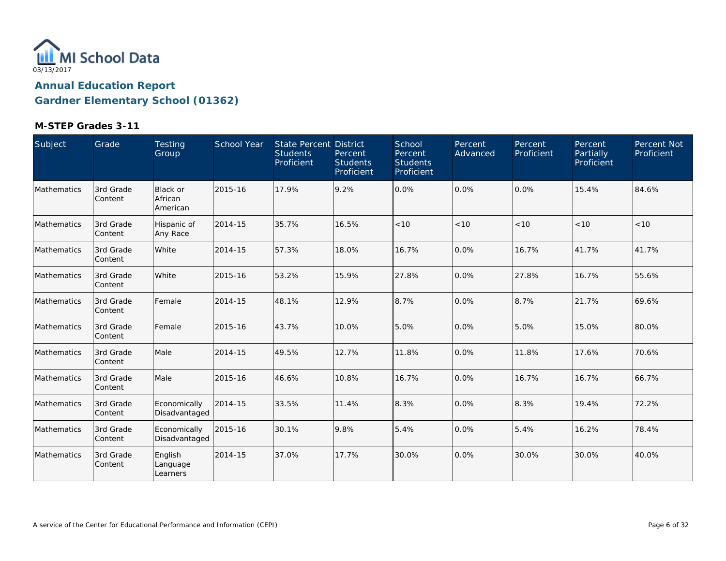

| Subject            | Grade                | Testing<br>Group                | School Year | State Percent District<br><b>Students</b><br>Proficient | Percent<br><b>Students</b><br>Proficient | School<br>Percent<br><b>Students</b><br>Proficient | Percent<br>Advanced | Percent<br>Proficient | Percent<br>Partially<br>Proficient | Percent Not<br>Proficient |
|--------------------|----------------------|---------------------------------|-------------|---------------------------------------------------------|------------------------------------------|----------------------------------------------------|---------------------|-----------------------|------------------------------------|---------------------------|
| Mathematics        | 3rd Grade<br>Content | Black or<br>African<br>American | 2015-16     | 17.9%                                                   | 9.2%                                     | 0.0%                                               | 0.0%                | $0.0\%$               | 15.4%                              | 84.6%                     |
| <b>Mathematics</b> | 3rd Grade<br>Content | Hispanic of<br>Any Race         | 2014-15     | 35.7%                                                   | 16.5%                                    | < 10                                               | < 10                | < 10                  | < 10                               | < 10                      |
| Mathematics        | 3rd Grade<br>Content | White                           | 2014-15     | 57.3%                                                   | 18.0%                                    | 16.7%                                              | 0.0%                | 16.7%                 | 41.7%                              | 41.7%                     |
| Mathematics        | 3rd Grade<br>Content | White                           | 2015-16     | 53.2%                                                   | 15.9%                                    | 27.8%                                              | 0.0%                | 27.8%                 | 16.7%                              | 55.6%                     |
| Mathematics        | 3rd Grade<br>Content | Female                          | 2014-15     | 48.1%                                                   | 12.9%                                    | 8.7%                                               | 0.0%                | 8.7%                  | 21.7%                              | 69.6%                     |
| <b>Mathematics</b> | 3rd Grade<br>Content | Female                          | 2015-16     | 43.7%                                                   | 10.0%                                    | 5.0%                                               | 0.0%                | 5.0%                  | 15.0%                              | 80.0%                     |
| Mathematics        | 3rd Grade<br>Content | Male                            | 2014-15     | 49.5%                                                   | 12.7%                                    | 11.8%                                              | 0.0%                | 11.8%                 | 17.6%                              | 70.6%                     |
| Mathematics        | 3rd Grade<br>Content | Male                            | 2015-16     | 46.6%                                                   | 10.8%                                    | 16.7%                                              | 0.0%                | 16.7%                 | 16.7%                              | 66.7%                     |
| Mathematics        | 3rd Grade<br>Content | Economically<br>Disadvantaged   | 2014-15     | 33.5%                                                   | 11.4%                                    | 8.3%                                               | 0.0%                | 8.3%                  | 19.4%                              | 72.2%                     |
| Mathematics        | 3rd Grade<br>Content | Economically<br>Disadvantaged   | 2015-16     | 30.1%                                                   | 9.8%                                     | 5.4%                                               | 0.0%                | 5.4%                  | 16.2%                              | 78.4%                     |
| Mathematics        | 3rd Grade<br>Content | English<br>Language<br>Learners | 2014-15     | 37.0%                                                   | 17.7%                                    | 30.0%                                              | 0.0%                | 30.0%                 | 30.0%                              | 40.0%                     |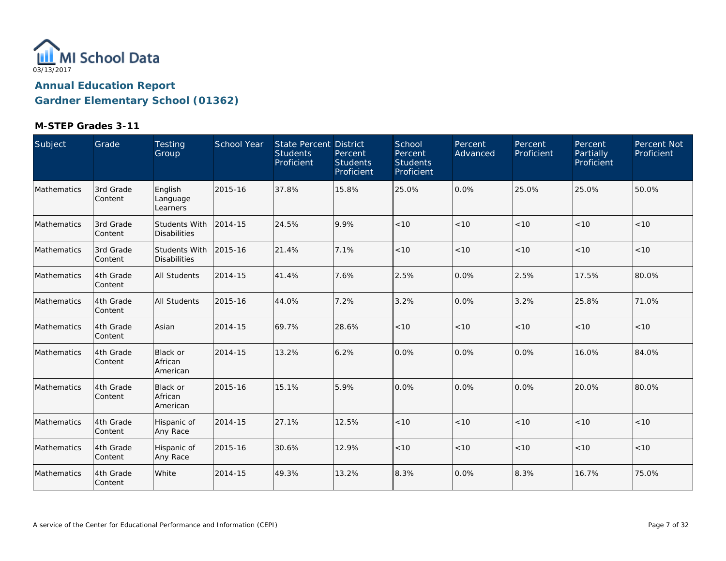

| Subject     | Grade                | Testing<br>Group                            | School Year | State Percent District<br><b>Students</b><br>Proficient | Percent<br><b>Students</b><br>Proficient | School<br>Percent<br><b>Students</b><br>Proficient | Percent<br>Advanced | Percent<br>Proficient | <b>Percent</b><br>Partially<br>Proficient | Percent Not<br>Proficient |
|-------------|----------------------|---------------------------------------------|-------------|---------------------------------------------------------|------------------------------------------|----------------------------------------------------|---------------------|-----------------------|-------------------------------------------|---------------------------|
| Mathematics | 3rd Grade<br>Content | English<br>Language<br>Learners             | 2015-16     | 37.8%                                                   | 15.8%                                    | 25.0%                                              | 0.0%                | 25.0%                 | 25.0%                                     | 50.0%                     |
| Mathematics | 3rd Grade<br>Content | <b>Students With</b><br><b>Disabilities</b> | 2014-15     | 24.5%                                                   | 9.9%                                     | < 10                                               | < 10                | < 10                  | < 10                                      | $<10$                     |
| Mathematics | 3rd Grade<br>Content | <b>Students With</b><br><b>Disabilities</b> | 2015-16     | 21.4%                                                   | 7.1%                                     | < 10                                               | < 10                | < 10                  | < 10                                      | $<10$                     |
| Mathematics | 4th Grade<br>Content | <b>All Students</b>                         | 2014-15     | 41.4%                                                   | 7.6%                                     | 2.5%                                               | 0.0%                | 2.5%                  | 17.5%                                     | 80.0%                     |
| Mathematics | 4th Grade<br>Content | <b>All Students</b>                         | 2015-16     | 44.0%                                                   | 7.2%                                     | 3.2%                                               | 0.0%                | 3.2%                  | 25.8%                                     | 71.0%                     |
| Mathematics | 4th Grade<br>Content | Asian                                       | 2014-15     | 69.7%                                                   | 28.6%                                    | < 10                                               | < 10                | < 10                  | < 10                                      | < 10                      |
| Mathematics | 4th Grade<br>Content | <b>Black or</b><br>African<br>American      | 2014-15     | 13.2%                                                   | 6.2%                                     | 0.0%                                               | 0.0%                | 0.0%                  | 16.0%                                     | 84.0%                     |
| Mathematics | 4th Grade<br>Content | Black or<br>African<br>American             | 2015-16     | 15.1%                                                   | 5.9%                                     | 0.0%                                               | 0.0%                | $0.0\%$               | 20.0%                                     | 80.0%                     |
| Mathematics | 4th Grade<br>Content | Hispanic of<br>Any Race                     | 2014-15     | 27.1%                                                   | 12.5%                                    | < 10                                               | < 10                | < 10                  | < 10                                      | $<10$                     |
| Mathematics | 4th Grade<br>Content | Hispanic of<br>Any Race                     | 2015-16     | 30.6%                                                   | 12.9%                                    | < 10                                               | < 10                | < 10                  | < 10                                      | < 10                      |
| Mathematics | 4th Grade<br>Content | White                                       | 2014-15     | 49.3%                                                   | 13.2%                                    | 8.3%                                               | 0.0%                | 8.3%                  | 16.7%                                     | 75.0%                     |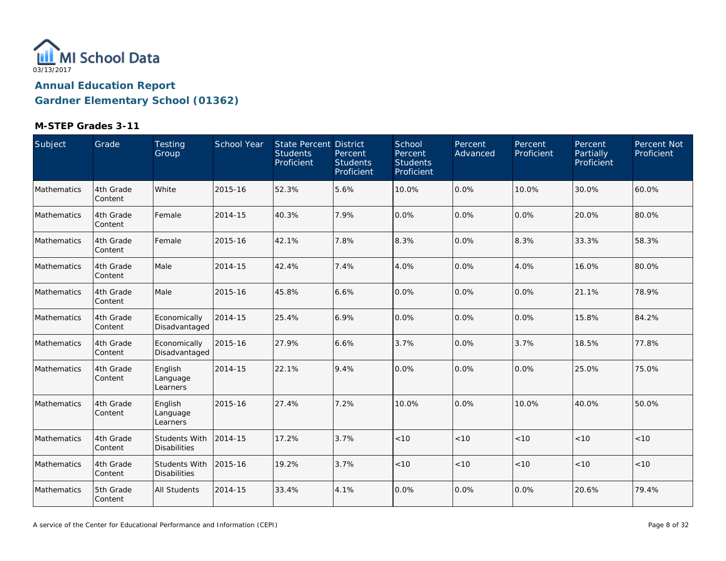

| Subject     | Grade                | Testing<br>Group                            | School Year | <b>State Percent District</b><br><b>Students</b><br>Proficient | Percent<br><b>Students</b><br>Proficient | School<br>Percent<br><b>Students</b><br>Proficient | Percent<br>Advanced | Percent<br>Proficient | Percent<br>Partially<br>Proficient | Percent Not<br>Proficient |
|-------------|----------------------|---------------------------------------------|-------------|----------------------------------------------------------------|------------------------------------------|----------------------------------------------------|---------------------|-----------------------|------------------------------------|---------------------------|
| Mathematics | 4th Grade<br>Content | White                                       | 2015-16     | 52.3%                                                          | 5.6%                                     | 10.0%                                              | 0.0%                | 10.0%                 | 30.0%                              | 60.0%                     |
| Mathematics | 4th Grade<br>Content | Female                                      | 2014-15     | 40.3%                                                          | 7.9%                                     | 0.0%                                               | 0.0%                | 0.0%                  | 20.0%                              | 80.0%                     |
| Mathematics | 4th Grade<br>Content | Female                                      | 2015-16     | 42.1%                                                          | 7.8%                                     | 8.3%                                               | 0.0%                | 8.3%                  | 33.3%                              | 58.3%                     |
| Mathematics | 4th Grade<br>Content | Male                                        | 2014-15     | 42.4%                                                          | 7.4%                                     | 4.0%                                               | 0.0%                | 4.0%                  | 16.0%                              | 80.0%                     |
| Mathematics | 4th Grade<br>Content | Male                                        | 2015-16     | 45.8%                                                          | 6.6%                                     | 0.0%                                               | 0.0%                | 0.0%                  | 21.1%                              | 78.9%                     |
| Mathematics | 4th Grade<br>Content | Economically<br>Disadvantaged               | 2014-15     | 25.4%                                                          | 6.9%                                     | 0.0%                                               | 0.0%                | 0.0%                  | 15.8%                              | 84.2%                     |
| Mathematics | 4th Grade<br>Content | Economically<br>Disadvantaged               | 2015-16     | 27.9%                                                          | 6.6%                                     | 3.7%                                               | 0.0%                | 3.7%                  | 18.5%                              | 77.8%                     |
| Mathematics | 4th Grade<br>Content | English<br>Language<br>Learners             | 2014-15     | 22.1%                                                          | 9.4%                                     | 0.0%                                               | 0.0%                | $0.0\%$               | 25.0%                              | 75.0%                     |
| Mathematics | 4th Grade<br>Content | English<br>Language<br>Learners             | 2015-16     | 27.4%                                                          | 7.2%                                     | 10.0%                                              | 0.0%                | 10.0%                 | 40.0%                              | 50.0%                     |
| Mathematics | 4th Grade<br>Content | <b>Students With</b><br><b>Disabilities</b> | 2014-15     | 17.2%                                                          | 3.7%                                     | $<10$                                              | < 10                | < 10                  | < 10                               | < 10                      |
| Mathematics | 4th Grade<br>Content | <b>Students With</b><br><b>Disabilities</b> | 2015-16     | 19.2%                                                          | 3.7%                                     | < 10                                               | < 10                | < 10                  | < 10                               | < 10                      |
| Mathematics | 5th Grade<br>Content | All Students                                | 2014-15     | 33.4%                                                          | 4.1%                                     | 0.0%                                               | 0.0%                | 0.0%                  | 20.6%                              | 79.4%                     |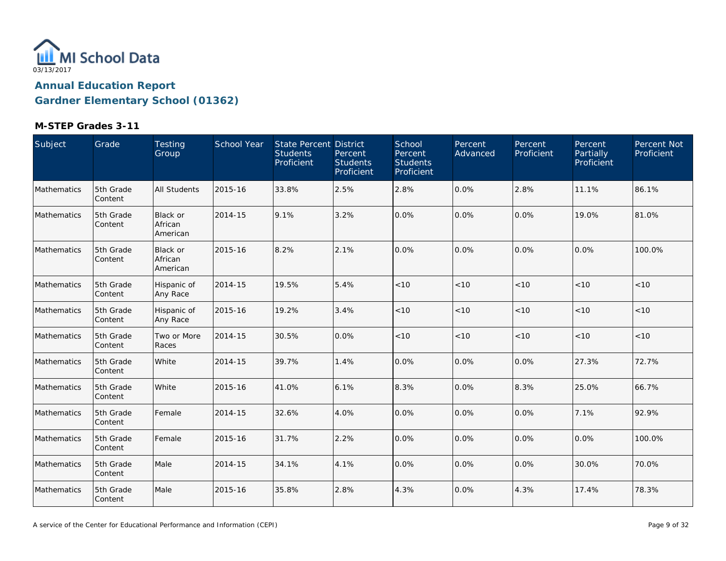

| Subject     | Grade                | Testing<br>Group                | School Year | State Percent District<br><b>Students</b><br>Proficient | Percent<br><b>Students</b><br>Proficient | School<br>Percent<br><b>Students</b><br>Proficient | Percent<br>Advanced | Percent<br>Proficient | Percent<br>Partially<br>Proficient | Percent Not<br>Proficient |
|-------------|----------------------|---------------------------------|-------------|---------------------------------------------------------|------------------------------------------|----------------------------------------------------|---------------------|-----------------------|------------------------------------|---------------------------|
| Mathematics | 5th Grade<br>Content | <b>All Students</b>             | 2015-16     | 33.8%                                                   | 2.5%                                     | 2.8%                                               | 0.0%                | 2.8%                  | 11.1%                              | 86.1%                     |
| Mathematics | 5th Grade<br>Content | Black or<br>African<br>American | 2014-15     | 9.1%                                                    | 3.2%                                     | 0.0%                                               | 0.0%                | 0.0%                  | 19.0%                              | 81.0%                     |
| Mathematics | 5th Grade<br>Content | Black or<br>African<br>American | 2015-16     | 8.2%                                                    | 2.1%                                     | 0.0%                                               | 0.0%                | 0.0%                  | 0.0%                               | 100.0%                    |
| Mathematics | 5th Grade<br>Content | Hispanic of<br>Any Race         | 2014-15     | 19.5%                                                   | 5.4%                                     | < 10                                               | < 10                | < 10                  | < 10                               | < 10                      |
| Mathematics | 5th Grade<br>Content | Hispanic of<br>Any Race         | 2015-16     | 19.2%                                                   | 3.4%                                     | < 10                                               | $<10$               | $<10$                 | < 10                               | < 10                      |
| Mathematics | 5th Grade<br>Content | Two or More<br>Races            | 2014-15     | 30.5%                                                   | 0.0%                                     | $<10$                                              | < 10                | < 10                  | < 10                               | $<10$                     |
| Mathematics | 5th Grade<br>Content | White                           | 2014-15     | 39.7%                                                   | 1.4%                                     | 0.0%                                               | 0.0%                | 0.0%                  | 27.3%                              | 72.7%                     |
| Mathematics | 5th Grade<br>Content | White                           | 2015-16     | 41.0%                                                   | 6.1%                                     | 8.3%                                               | 0.0%                | 8.3%                  | 25.0%                              | 66.7%                     |
| Mathematics | 5th Grade<br>Content | Female                          | 2014-15     | 32.6%                                                   | 4.0%                                     | 0.0%                                               | 0.0%                | 0.0%                  | 7.1%                               | 92.9%                     |
| Mathematics | 5th Grade<br>Content | Female                          | 2015-16     | 31.7%                                                   | 2.2%                                     | 0.0%                                               | 0.0%                | 0.0%                  | 0.0%                               | 100.0%                    |
| Mathematics | 5th Grade<br>Content | Male                            | 2014-15     | 34.1%                                                   | 4.1%                                     | 0.0%                                               | 0.0%                | 0.0%                  | 30.0%                              | 70.0%                     |
| Mathematics | 5th Grade<br>Content | Male                            | 2015-16     | 35.8%                                                   | 2.8%                                     | 4.3%                                               | 0.0%                | 4.3%                  | 17.4%                              | 78.3%                     |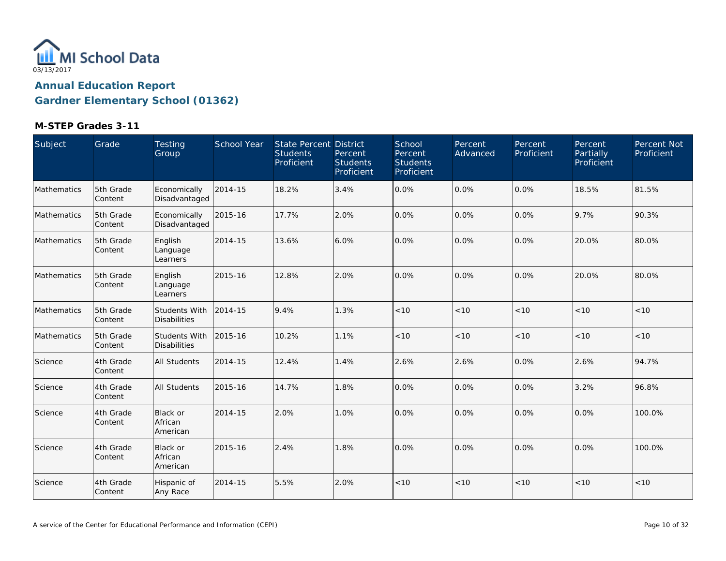

| Subject     | Grade                 | Testing<br>Group                            | <b>School Year</b> | State Percent District<br><b>Students</b><br>Proficient | Percent<br><b>Students</b><br>Proficient | School<br>Percent<br><b>Students</b><br>Proficient | Percent<br>Advanced | Percent<br>Proficient | Percent<br>Partially<br>Proficient | Percent Not<br>Proficient |
|-------------|-----------------------|---------------------------------------------|--------------------|---------------------------------------------------------|------------------------------------------|----------------------------------------------------|---------------------|-----------------------|------------------------------------|---------------------------|
| Mathematics | 5th Grade<br>Content  | Economically<br>Disadvantaged               | 2014-15            | 18.2%                                                   | 3.4%                                     | 0.0%                                               | 0.0%                | 0.0%                  | 18.5%                              | 81.5%                     |
| Mathematics | 5th Grade<br>Content  | Economically<br>Disadvantaged               | 2015-16            | 17.7%                                                   | 2.0%                                     | 0.0%                                               | 0.0%                | 0.0%                  | 9.7%                               | 90.3%                     |
| Mathematics | 5th Grade<br> Content | English<br>Language<br>Learners             | 2014-15            | 13.6%                                                   | 6.0%                                     | 0.0%                                               | 0.0%                | 0.0%                  | 20.0%                              | 80.0%                     |
| Mathematics | 5th Grade<br>Content  | English<br>Language<br>Learners             | 2015-16            | 12.8%                                                   | 2.0%                                     | 0.0%                                               | 0.0%                | 0.0%                  | 20.0%                              | 80.0%                     |
| Mathematics | 5th Grade<br>Content  | <b>Students With</b><br><b>Disabilities</b> | 2014-15            | 9.4%                                                    | 1.3%                                     | < 10                                               | < 10                | < 10                  | < 10                               | < 10                      |
| Mathematics | 5th Grade<br>Content  | <b>Students With</b><br><b>Disabilities</b> | 2015-16            | 10.2%                                                   | 1.1%                                     | < 10                                               | < 10                | < 10                  | < 10                               | < 10                      |
| Science     | 4th Grade<br>Content  | <b>All Students</b>                         | 2014-15            | 12.4%                                                   | 1.4%                                     | 2.6%                                               | 2.6%                | 0.0%                  | 2.6%                               | 94.7%                     |
| Science     | 4th Grade<br>Content  | All Students                                | 2015-16            | 14.7%                                                   | 1.8%                                     | 0.0%                                               | 0.0%                | $0.0\%$               | 3.2%                               | 96.8%                     |
| Science     | 4th Grade<br>Content  | <b>Black or</b><br>African<br>American      | 2014-15            | 2.0%                                                    | 1.0%                                     | 0.0%                                               | 0.0%                | 0.0%                  | 0.0%                               | 100.0%                    |
| Science     | 4th Grade<br>Content  | <b>Black or</b><br>African<br>American      | 2015-16            | 2.4%                                                    | 1.8%                                     | 0.0%                                               | 0.0%                | $0.0\%$               | 0.0%                               | 100.0%                    |
| Science     | 4th Grade<br>Content  | Hispanic of<br>Any Race                     | 2014-15            | 5.5%                                                    | 2.0%                                     | < 10                                               | < 10                | < 10                  | < 10                               | < 10                      |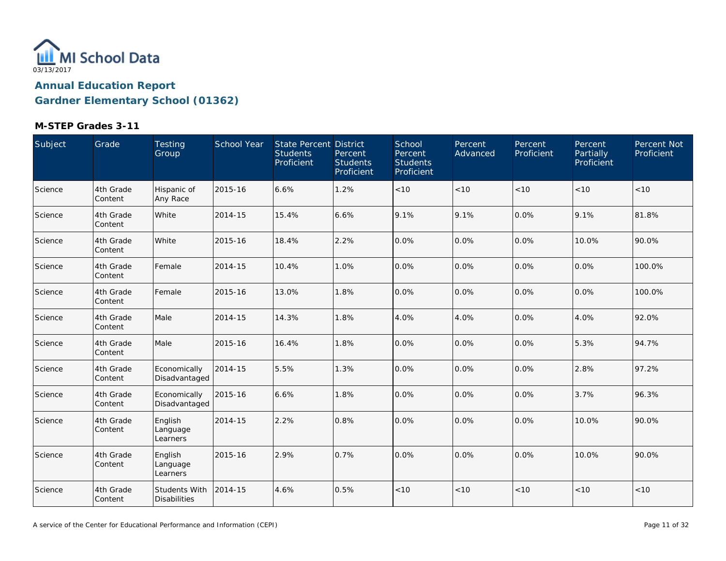

| Subject | Grade                | <b>Testing</b><br>Group                     | School Year | State Percent District<br><b>Students</b><br>Proficient | Percent<br><b>Students</b><br>Proficient | School<br>Percent<br><b>Students</b><br>Proficient | Percent<br>Advanced | Percent<br>Proficient | Percent<br>Partially<br>Proficient | Percent Not<br>Proficient |
|---------|----------------------|---------------------------------------------|-------------|---------------------------------------------------------|------------------------------------------|----------------------------------------------------|---------------------|-----------------------|------------------------------------|---------------------------|
| Science | 4th Grade<br>Content | Hispanic of<br>Any Race                     | 2015-16     | 6.6%                                                    | 1.2%                                     | $<10$                                              | < 10                | < 10                  | < 10                               | $<10$                     |
| Science | 4th Grade<br>Content | White                                       | 2014-15     | 15.4%                                                   | 6.6%                                     | 9.1%                                               | 9.1%                | 0.0%                  | 9.1%                               | 81.8%                     |
| Science | 4th Grade<br>Content | White                                       | 2015-16     | 18.4%                                                   | 2.2%                                     | 0.0%                                               | 0.0%                | 0.0%                  | 10.0%                              | 90.0%                     |
| Science | 4th Grade<br>Content | Female                                      | 2014-15     | 10.4%                                                   | 1.0%                                     | 0.0%                                               | 0.0%                | $0.0\%$               | 0.0%                               | 100.0%                    |
| Science | 4th Grade<br>Content | Female                                      | 2015-16     | 13.0%                                                   | 1.8%                                     | 0.0%                                               | 0.0%                | 0.0%                  | 0.0%                               | 100.0%                    |
| Science | 4th Grade<br>Content | Male                                        | 2014-15     | 14.3%                                                   | 1.8%                                     | 4.0%                                               | 4.0%                | 0.0%                  | 4.0%                               | 92.0%                     |
| Science | 4th Grade<br>Content | Male                                        | 2015-16     | 16.4%                                                   | 1.8%                                     | 0.0%                                               | 0.0%                | 0.0%                  | 5.3%                               | 94.7%                     |
| Science | 4th Grade<br>Content | Economically<br>Disadvantaged               | 2014-15     | 5.5%                                                    | 1.3%                                     | 0.0%                                               | 0.0%                | 0.0%                  | 2.8%                               | 97.2%                     |
| Science | 4th Grade<br>Content | Economically<br>Disadvantaged               | 2015-16     | 6.6%                                                    | 1.8%                                     | 0.0%                                               | 0.0%                | 0.0%                  | 3.7%                               | 96.3%                     |
| Science | 4th Grade<br>Content | English<br>Language<br>Learners             | 2014-15     | 2.2%                                                    | 0.8%                                     | 0.0%                                               | 0.0%                | 0.0%                  | 10.0%                              | 90.0%                     |
| Science | 4th Grade<br>Content | English<br>Language<br>Learners             | 2015-16     | 2.9%                                                    | 0.7%                                     | 0.0%                                               | 0.0%                | 0.0%                  | 10.0%                              | 90.0%                     |
| Science | 4th Grade<br>Content | <b>Students With</b><br><b>Disabilities</b> | 2014-15     | 4.6%                                                    | 0.5%                                     | < 10                                               | < 10                | < 10                  | < 10                               | $<10$                     |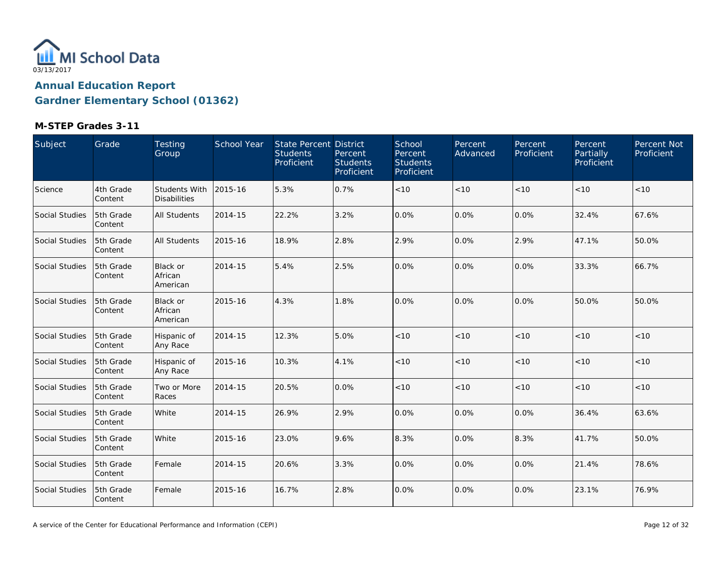

| Subject               | Grade                | Testing<br>Group                            | <b>School Year</b> | State Percent District<br><b>Students</b><br>Proficient | Percent<br><b>Students</b><br>Proficient | School<br>Percent<br><b>Students</b><br>Proficient | Percent<br>Advanced | Percent<br>Proficient | Percent<br>Partially<br>Proficient | Percent Not<br>Proficient |
|-----------------------|----------------------|---------------------------------------------|--------------------|---------------------------------------------------------|------------------------------------------|----------------------------------------------------|---------------------|-----------------------|------------------------------------|---------------------------|
| Science               | 4th Grade<br>Content | <b>Students With</b><br><b>Disabilities</b> | 2015-16            | 5.3%                                                    | 0.7%                                     | < 10                                               | < 10                | < 10                  | < 10                               | < 10                      |
| Social Studies        | 5th Grade<br>Content | <b>All Students</b>                         | 2014-15            | 22.2%                                                   | 3.2%                                     | 0.0%                                               | 0.0%                | 0.0%                  | 32.4%                              | 67.6%                     |
| Social Studies        | 5th Grade<br>Content | <b>All Students</b>                         | 2015-16            | 18.9%                                                   | 2.8%                                     | 2.9%                                               | 0.0%                | 2.9%                  | 47.1%                              | 50.0%                     |
| <b>Social Studies</b> | 5th Grade<br>Content | <b>Black or</b><br>African<br>American      | 2014-15            | 5.4%                                                    | 2.5%                                     | 0.0%                                               | 0.0%                | 0.0%                  | 33.3%                              | 66.7%                     |
| <b>Social Studies</b> | 5th Grade<br>Content | <b>Black or</b><br>African<br>American      | 2015-16            | 4.3%                                                    | 1.8%                                     | 0.0%                                               | 0.0%                | 0.0%                  | 50.0%                              | 50.0%                     |
| <b>Social Studies</b> | 5th Grade<br>Content | Hispanic of<br>Any Race                     | 2014-15            | 12.3%                                                   | 5.0%                                     | < 10                                               | < 10                | < 10                  | < 10                               | < 10                      |
| <b>Social Studies</b> | 5th Grade<br>Content | Hispanic of<br>Any Race                     | 2015-16            | 10.3%                                                   | 4.1%                                     | < 10                                               | < 10                | < 10                  | < 10                               | < 10                      |
| <b>Social Studies</b> | 5th Grade<br>Content | Two or More<br>Races                        | 2014-15            | 20.5%                                                   | 0.0%                                     | < 10                                               | < 10                | $<10$                 | < 10                               | $<10$                     |
| <b>Social Studies</b> | 5th Grade<br>Content | White                                       | 2014-15            | 26.9%                                                   | 2.9%                                     | 0.0%                                               | 0.0%                | 0.0%                  | 36.4%                              | 63.6%                     |
| Social Studies        | 5th Grade<br>Content | White                                       | 2015-16            | 23.0%                                                   | 9.6%                                     | 8.3%                                               | 0.0%                | 8.3%                  | 41.7%                              | 50.0%                     |
| Social Studies        | 5th Grade<br>Content | Female                                      | 2014-15            | 20.6%                                                   | 3.3%                                     | 0.0%                                               | 0.0%                | 0.0%                  | 21.4%                              | 78.6%                     |
| Social Studies        | 5th Grade<br>Content | Female                                      | 2015-16            | 16.7%                                                   | 2.8%                                     | 0.0%                                               | 0.0%                | 0.0%                  | 23.1%                              | 76.9%                     |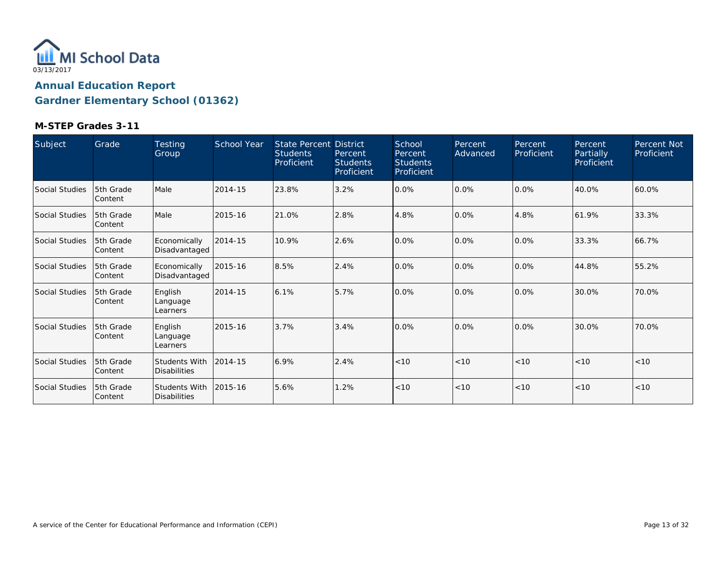

| Subject               | Grade                  | <b>Testing</b><br>Group              | <b>School Year</b> | <b>State Percent District</b><br><b>Students</b><br>Proficient | Percent<br><b>Students</b><br>Proficient | School<br>Percent<br><b>Students</b><br>Proficient | Percent<br>Advanced | Percent<br>Proficient | Percent<br>Partially<br>Proficient | Percent Not<br>Proficient |
|-----------------------|------------------------|--------------------------------------|--------------------|----------------------------------------------------------------|------------------------------------------|----------------------------------------------------|---------------------|-----------------------|------------------------------------|---------------------------|
| Social Studies        | 5th Grade<br> Content  | Male                                 | 2014-15            | 23.8%                                                          | 3.2%                                     | 0.0%                                               | 0.0%                | 0.0%                  | 40.0%                              | 60.0%                     |
| <b>Social Studies</b> | 15th Grade<br> Content | Male                                 | 2015-16            | 21.0%                                                          | 2.8%                                     | 4.8%                                               | 0.0%                | 4.8%                  | 61.9%                              | 33.3%                     |
| Social Studies        | 5th Grade<br> Content  | Economically<br>Disadvantaged        | 2014-15            | 10.9%                                                          | 2.6%                                     | 0.0%                                               | 0.0%                | 0.0%                  | 33.3%                              | 66.7%                     |
| <b>Social Studies</b> | 5th Grade<br>Content   | Economically<br>Disadvantaged        | 2015-16            | 8.5%                                                           | 2.4%                                     | 0.0%                                               | 0.0%                | 0.0%                  | 44.8%                              | 55.2%                     |
| <b>Social Studies</b> | 15th Grade<br>Content  | English<br>Language<br>Learners      | 2014-15            | 6.1%                                                           | 5.7%                                     | 0.0%                                               | 0.0%                | 0.0%                  | 30.0%                              | 70.0%                     |
| Social Studies        | 5th Grade<br> Content  | English<br>Language<br>Learners      | 2015-16            | 3.7%                                                           | 3.4%                                     | 0.0%                                               | 0.0%                | 0.0%                  | 30.0%                              | 70.0%                     |
| <b>Social Studies</b> | 15th Grade<br>Content  | Students With<br><b>Disabilities</b> | 2014-15            | 6.9%                                                           | 2.4%                                     | < 10                                               | < 10                | < 10                  | < 10                               | < 10                      |
| Social Studies        | 5th Grade<br> Content  | Students With<br><b>Disabilities</b> | 2015-16            | 5.6%                                                           | 1.2%                                     | < 10                                               | < 10                | < 10                  | < 10                               | < 10                      |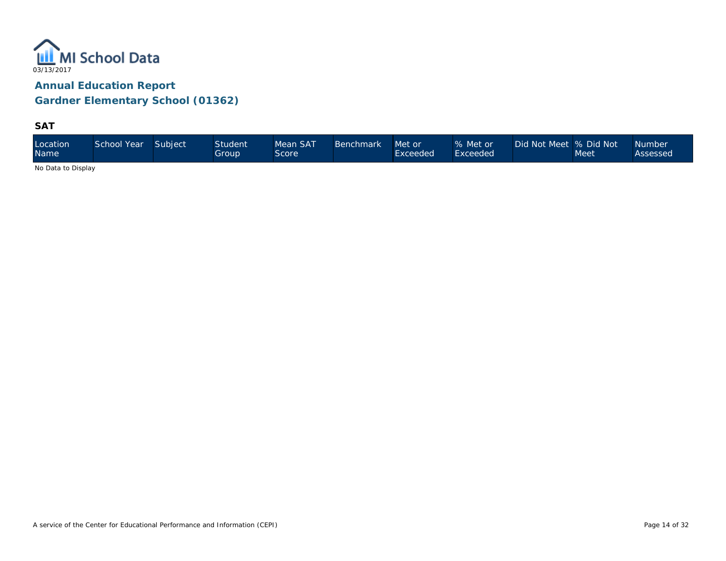

**SAT**

| Location<br><b>Name</b> | School Year | Subject | <b>Student</b><br>Group | Mean SAT<br>Score | <b>Benchmark</b> | Met or<br>Exceeded | % Met or<br>Exceeded <sup>1</sup> | Did Not Meet 9% Did Not \ | Meet | <b>Number</b><br>Assessed |
|-------------------------|-------------|---------|-------------------------|-------------------|------------------|--------------------|-----------------------------------|---------------------------|------|---------------------------|
|-------------------------|-------------|---------|-------------------------|-------------------|------------------|--------------------|-----------------------------------|---------------------------|------|---------------------------|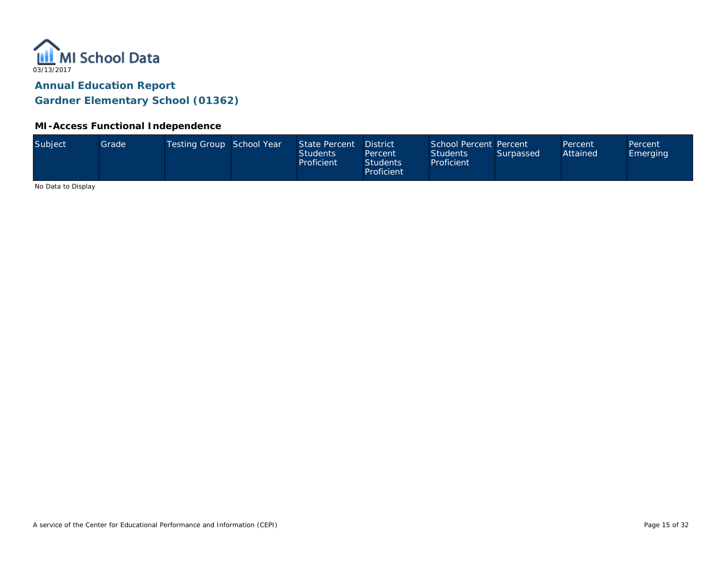

### **MI-Access Functional Independence**

| Subject<br>Testing Group School Year<br>School Percent Percent<br>State Percent<br>Grade<br><b>District</b><br>Percent<br>Percent<br>Attained<br><b>Students</b><br><b>Students</b><br>Surpassed<br><b>Emerging</b><br>Percent<br>Proficient<br><b>Students</b><br>Proficient<br>Proficient |  |
|---------------------------------------------------------------------------------------------------------------------------------------------------------------------------------------------------------------------------------------------------------------------------------------------|--|
|---------------------------------------------------------------------------------------------------------------------------------------------------------------------------------------------------------------------------------------------------------------------------------------------|--|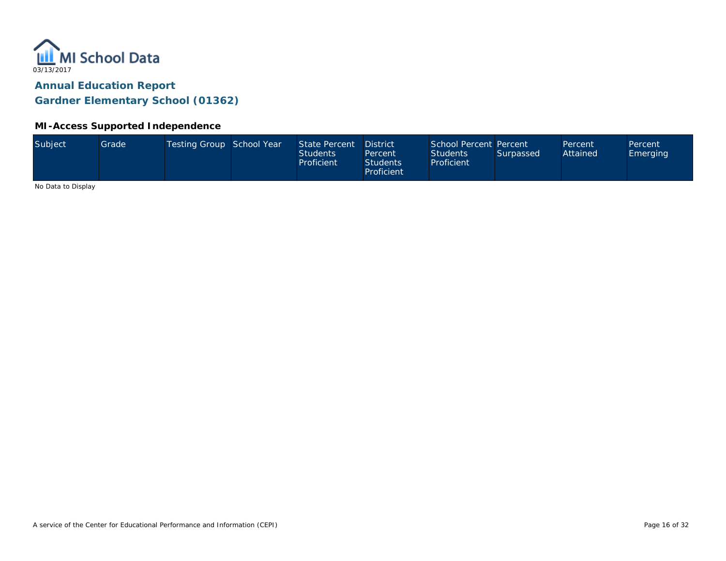

### **MI-Access Supported Independence**

| Subject             | Grade | Testing Group School Year | State Percent<br><b>Students</b><br>Proficient | <b>District</b><br>Percent<br><b>Students</b><br>Proficient | School Percent Percent<br><b>Students</b><br>Proficient | Surpassed | Percent<br>Attained | Percent<br>Emerging |
|---------------------|-------|---------------------------|------------------------------------------------|-------------------------------------------------------------|---------------------------------------------------------|-----------|---------------------|---------------------|
| No Data to Disalact |       |                           |                                                |                                                             |                                                         |           |                     |                     |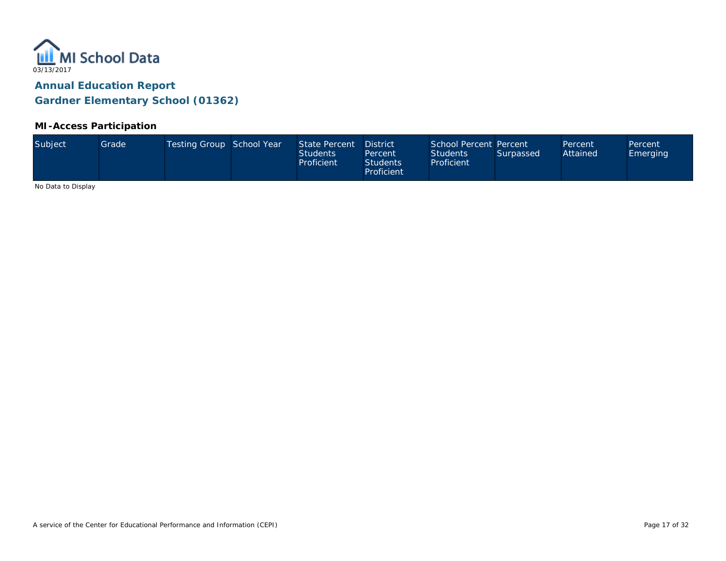

### **MI-Access Participation**

| Subject<br>Testing Group School Year<br>State Percent<br>School Percent Percent<br>Grade <sup>1</sup><br><b>District</b><br>Percent<br>Attained<br>Students<br><b>Students</b><br>Surpassed<br>Percent<br>Proficient<br>Proficient<br><b>Students</b><br>Proficient |  |  |  |  |  |  |  |  |  | Percent<br><b>Emerging</b> |
|---------------------------------------------------------------------------------------------------------------------------------------------------------------------------------------------------------------------------------------------------------------------|--|--|--|--|--|--|--|--|--|----------------------------|
|---------------------------------------------------------------------------------------------------------------------------------------------------------------------------------------------------------------------------------------------------------------------|--|--|--|--|--|--|--|--|--|----------------------------|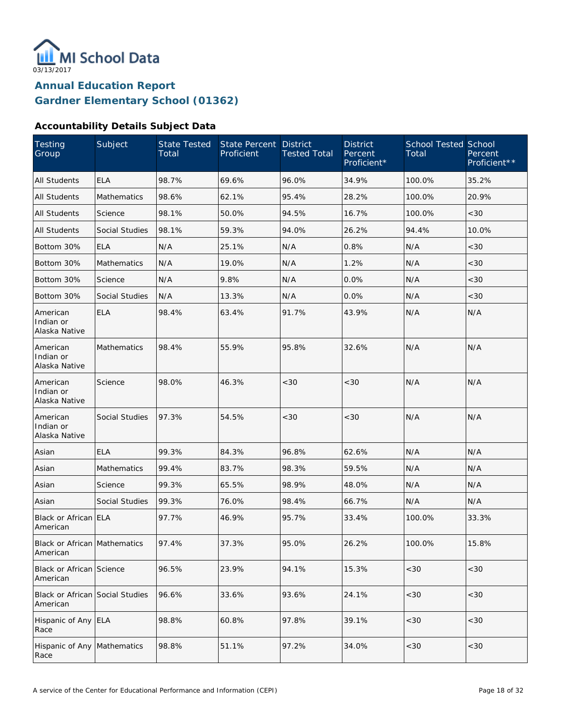

### **Accountability Details Subject Data**

| Testing<br>Group                            | Subject               | <b>State Tested</b><br>Total | <b>State Percent</b><br>Proficient | <b>District</b><br><b>Tested Total</b> | <b>District</b><br>Percent<br>Proficient* | <b>School Tested School</b><br>Total | Percent<br>Proficient** |
|---------------------------------------------|-----------------------|------------------------------|------------------------------------|----------------------------------------|-------------------------------------------|--------------------------------------|-------------------------|
| <b>All Students</b>                         | <b>ELA</b>            | 98.7%                        | 69.6%                              | 96.0%                                  | 34.9%                                     | 100.0%                               | 35.2%                   |
| <b>All Students</b>                         | Mathematics           | 98.6%                        | 62.1%                              | 95.4%                                  | 28.2%                                     | 100.0%                               | 20.9%                   |
| All Students                                | Science               | 98.1%                        | 50.0%                              | 94.5%                                  | 16.7%                                     | 100.0%                               | <30                     |
| All Students                                | <b>Social Studies</b> | 98.1%                        | 59.3%                              | 94.0%                                  | 26.2%                                     | 94.4%                                | 10.0%                   |
| Bottom 30%                                  | <b>ELA</b>            | N/A                          | 25.1%                              | N/A                                    | 0.8%                                      | N/A                                  | <30                     |
| Bottom 30%                                  | Mathematics           | N/A                          | 19.0%                              | N/A                                    | 1.2%                                      | N/A                                  | <30                     |
| Bottom 30%                                  | Science               | N/A                          | 9.8%                               | N/A                                    | 0.0%                                      | N/A                                  | <30                     |
| Bottom 30%                                  | Social Studies        | N/A                          | 13.3%                              | N/A                                    | 0.0%                                      | N/A                                  | <30                     |
| American<br>Indian or<br>Alaska Native      | <b>ELA</b>            | 98.4%                        | 63.4%                              | 91.7%                                  | 43.9%                                     | N/A                                  | N/A                     |
| American<br>Indian or<br>Alaska Native      | <b>Mathematics</b>    | 98.4%                        | 55.9%                              | 95.8%                                  | 32.6%                                     | N/A                                  | N/A                     |
| American<br>Indian or<br>Alaska Native      | Science               | 98.0%                        | 46.3%                              | <30                                    | <30                                       | N/A                                  | N/A                     |
| American<br>Indian or<br>Alaska Native      | Social Studies        | 97.3%                        | 54.5%                              | <30                                    | < 30                                      | N/A                                  | N/A                     |
| Asian                                       | <b>ELA</b>            | 99.3%                        | 84.3%                              | 96.8%                                  | 62.6%                                     | N/A                                  | N/A                     |
| Asian                                       | <b>Mathematics</b>    | 99.4%                        | 83.7%                              | 98.3%                                  | 59.5%                                     | N/A                                  | N/A                     |
| Asian                                       | Science               | 99.3%                        | 65.5%                              | 98.9%                                  | 48.0%                                     | N/A                                  | N/A                     |
| Asian                                       | Social Studies        | 99.3%                        | 76.0%                              | 98.4%                                  | 66.7%                                     | N/A                                  | N/A                     |
| Black or African ELA<br>American            |                       | 97.7%                        | 46.9%                              | 95.7%                                  | 33.4%                                     | 100.0%                               | 33.3%                   |
| Black or African Mathematics<br>American    |                       | 97.4%                        | 37.3%                              | 95.0%                                  | 26.2%                                     | 100.0%                               | 15.8%                   |
| Black or African Science<br>American        |                       | 96.5%                        | 23.9%                              | 94.1%                                  | 15.3%                                     | <30                                  | <30                     |
| Black or African Social Studies<br>American |                       | 96.6%                        | 33.6%                              | 93.6%                                  | 24.1%                                     | $<30$                                | <30                     |
| Hispanic of Any ELA<br>Race                 |                       | 98.8%                        | 60.8%                              | 97.8%                                  | 39.1%                                     | $<30$                                | $<30$                   |
| Hispanic of Any<br>Race                     | Mathematics           | 98.8%                        | 51.1%                              | 97.2%                                  | 34.0%                                     | $<30$                                | $<30$                   |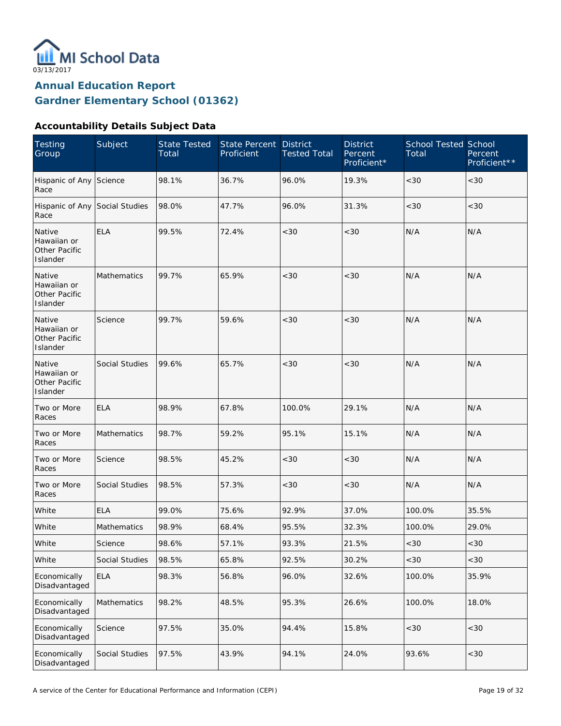

### **Accountability Details Subject Data**

| <b>Testing</b><br>Group                            | Subject            | <b>State Tested</b><br>Total | <b>State Percent</b><br>Proficient | <b>District</b><br><b>Tested Total</b> | <b>District</b><br>Percent<br>Proficient* | <b>School Tested School</b><br>Total | Percent<br>Proficient** |
|----------------------------------------------------|--------------------|------------------------------|------------------------------------|----------------------------------------|-------------------------------------------|--------------------------------------|-------------------------|
| Hispanic of Any Science<br>Race                    |                    | 98.1%                        | 36.7%                              | 96.0%                                  | 19.3%                                     | <30                                  | <30                     |
| Hispanic of Any Social Studies<br>Race             |                    | 98.0%                        | 47.7%                              | 96.0%                                  | 31.3%                                     | <30                                  | <30                     |
| Native<br>Hawaiian or<br>Other Pacific<br>Islander | <b>ELA</b>         | 99.5%                        | 72.4%                              | <30                                    | < 30                                      | N/A                                  | N/A                     |
| Native<br>Hawaiian or<br>Other Pacific<br>Islander | Mathematics        | 99.7%                        | 65.9%                              | <30                                    | < 30                                      | N/A                                  | N/A                     |
| Native<br>Hawaiian or<br>Other Pacific<br>Islander | Science            | 99.7%                        | 59.6%                              | <30                                    | < 30                                      | N/A                                  | N/A                     |
| Native<br>Hawaiian or<br>Other Pacific<br>Islander | Social Studies     | 99.6%                        | 65.7%                              | <30                                    | < 30                                      | N/A                                  | N/A                     |
| Two or More<br>Races                               | <b>ELA</b>         | 98.9%                        | 67.8%                              | 100.0%                                 | 29.1%                                     | N/A                                  | N/A                     |
| Two or More<br>Races                               | Mathematics        | 98.7%                        | 59.2%                              | 95.1%                                  | 15.1%                                     | N/A                                  | N/A                     |
| Two or More<br>Races                               | Science            | 98.5%                        | 45.2%                              | <30                                    | < 30                                      | N/A                                  | N/A                     |
| Two or More<br>Races                               | Social Studies     | 98.5%                        | 57.3%                              | <30                                    | < 30                                      | N/A                                  | N/A                     |
| White                                              | <b>ELA</b>         | 99.0%                        | 75.6%                              | 92.9%                                  | 37.0%                                     | 100.0%                               | 35.5%                   |
| White                                              | <b>Mathematics</b> | 98.9%                        | 68.4%                              | 95.5%                                  | 32.3%                                     | 100.0%                               | 29.0%                   |
| White                                              | Science            | 98.6%                        | 57.1%                              | 93.3%                                  | 21.5%                                     | <30                                  | $<\!30$                 |
| White                                              | Social Studies     | 98.5%                        | 65.8%                              | 92.5%                                  | 30.2%                                     | <30                                  | <30                     |
| Economically<br>Disadvantaged                      | <b>ELA</b>         | 98.3%                        | 56.8%                              | 96.0%                                  | 32.6%                                     | 100.0%                               | 35.9%                   |
| Economically<br>Disadvantaged                      | Mathematics        | 98.2%                        | 48.5%                              | 95.3%                                  | 26.6%                                     | 100.0%                               | 18.0%                   |
| Economically<br>Disadvantaged                      | Science            | 97.5%                        | 35.0%                              | 94.4%                                  | 15.8%                                     | $<30$                                | $<30$                   |
| Economically<br>Disadvantaged                      | Social Studies     | 97.5%                        | 43.9%                              | 94.1%                                  | 24.0%                                     | 93.6%                                | <30                     |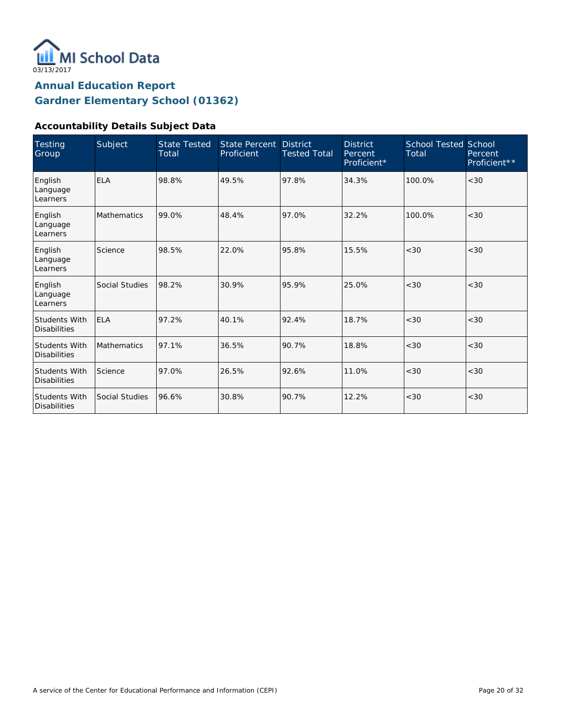

### **Accountability Details Subject Data**

| <b>Testing</b><br>Group                     | Subject            | <b>State Tested</b><br>Total | State Percent<br>Proficient | <b>District</b><br><b>Tested Total</b> | <b>District</b><br>Percent<br>Proficient* | <b>School Tested School</b><br>Total | Percent<br>Proficient** |
|---------------------------------------------|--------------------|------------------------------|-----------------------------|----------------------------------------|-------------------------------------------|--------------------------------------|-------------------------|
| English<br>Language<br>Learners             | <b>ELA</b>         | 98.8%                        | 49.5%                       | 97.8%                                  | 34.3%                                     | 100.0%                               | <30                     |
| English<br>Language<br>Learners             | <b>Mathematics</b> | 99.0%                        | 48.4%                       | 97.0%                                  | 32.2%                                     | 100.0%                               | <30                     |
| English<br>Language<br>Learners             | Science            | 98.5%                        | 22.0%                       | 95.8%                                  | 15.5%                                     | < 30                                 | <30                     |
| English<br>Language<br>Learners             | Social Studies     | 98.2%                        | 30.9%                       | 95.9%                                  | 25.0%                                     | <30                                  | <30                     |
| <b>Students With</b><br><b>Disabilities</b> | <b>ELA</b>         | 97.2%                        | 40.1%                       | 92.4%                                  | 18.7%                                     | <30                                  | <30                     |
| <b>Students With</b><br><b>Disabilities</b> | Mathematics        | 97.1%                        | 36.5%                       | 90.7%                                  | 18.8%                                     | < 30                                 | <30                     |
| <b>Students With</b><br><b>Disabilities</b> | Science            | 97.0%                        | 26.5%                       | 92.6%                                  | 11.0%                                     | < 30                                 | <30                     |
| <b>Students With</b><br><b>Disabilities</b> | Social Studies     | 96.6%                        | 30.8%                       | 90.7%                                  | 12.2%                                     | < 30                                 | <30                     |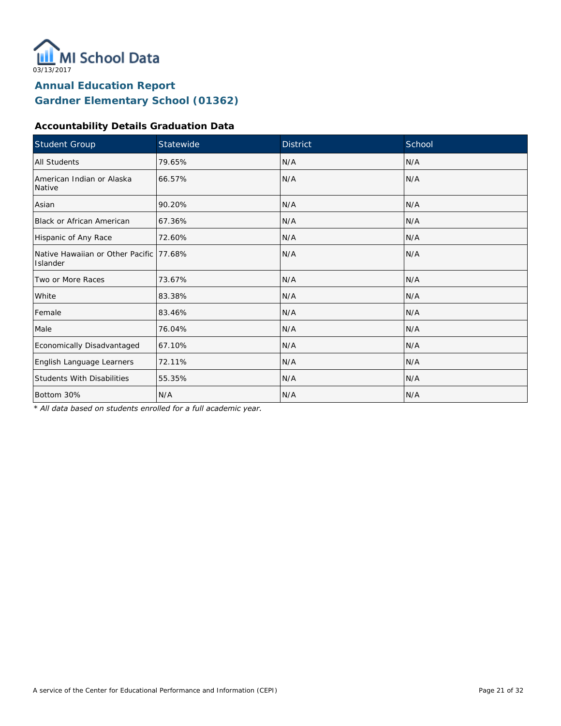

### **Accountability Details Graduation Data**

| Student Group                                        | Statewide | <b>District</b> | School |
|------------------------------------------------------|-----------|-----------------|--------|
| All Students                                         | 79.65%    | N/A             | N/A    |
| American Indian or Alaska<br>Native                  | 66.57%    | N/A             | N/A    |
| Asian                                                | 90.20%    | N/A             | N/A    |
| Black or African American                            | 67.36%    | N/A             | N/A    |
| Hispanic of Any Race                                 | 72.60%    | N/A             | N/A    |
| Native Hawaiian or Other Pacific 177.68%<br>Islander |           | N/A             | N/A    |
| Two or More Races                                    | 73.67%    | N/A             | N/A    |
| White                                                | 83.38%    | N/A             | N/A    |
| Female                                               | 83.46%    | N/A             | N/A    |
| Male                                                 | 76.04%    | N/A             | N/A    |
| Economically Disadvantaged                           | 67.10%    | N/A             | N/A    |
| English Language Learners                            | 72.11%    | N/A             | N/A    |
| <b>Students With Disabilities</b>                    | 55.35%    | N/A             | N/A    |
| Bottom 30%                                           | N/A       | N/A             | N/A    |

*\* All data based on students enrolled for a full academic year.*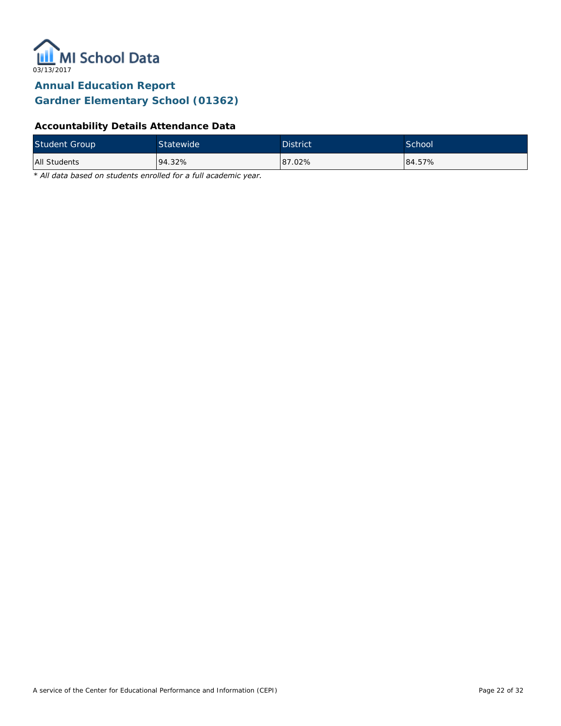

## **Accountability Details Attendance Data**

| <b>Student Group</b> | Statewide | <b>District</b> | School <sup>1</sup> |
|----------------------|-----------|-----------------|---------------------|
| All Students         | 94.32%    | 87.02%          | 84.57%              |

*\* All data based on students enrolled for a full academic year.*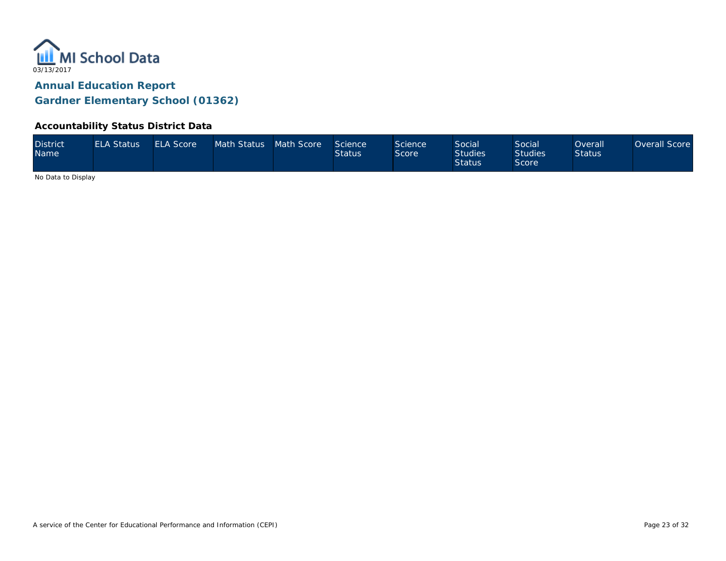

### **Accountability Status District Data**

| <b>District</b><br><b>Name</b> | <b>ELA Status</b> | <b>ELA Score</b> | Math Status Math Score |  | Science<br><b>Status</b> | Science<br>Score | <b>Social</b><br><b>Studies</b><br><b>Status</b> | Social<br><b>Studies</b><br>Score | Overall'<br><b>Status</b> | Overall Score |
|--------------------------------|-------------------|------------------|------------------------|--|--------------------------|------------------|--------------------------------------------------|-----------------------------------|---------------------------|---------------|
|--------------------------------|-------------------|------------------|------------------------|--|--------------------------|------------------|--------------------------------------------------|-----------------------------------|---------------------------|---------------|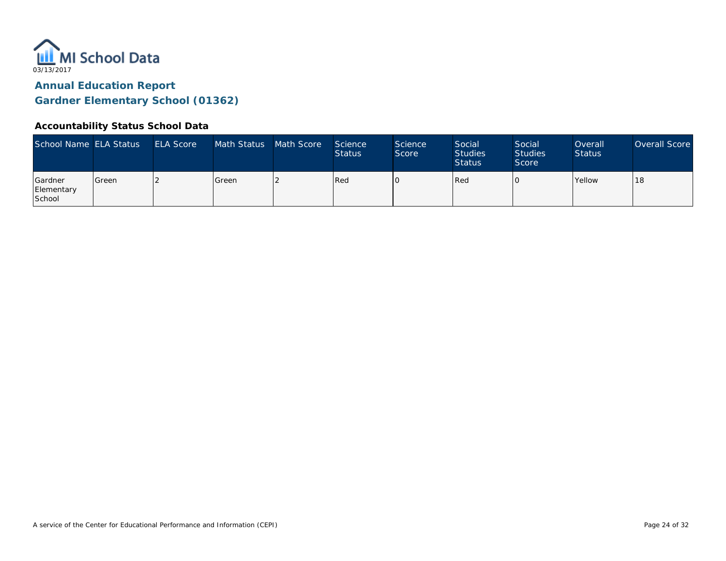

### **Accountability Status School Data**

| School Name ELA Status          |         | <b>ELA Score</b> | Math Status | Math Score | Science<br><b>Status</b> | <b>Science</b><br>Score | Social<br><b>Studies</b><br><b>Status</b> | Social<br><b>Studies</b><br>Score | Overall<br><b>Status</b> | Overall Score |
|---------------------------------|---------|------------------|-------------|------------|--------------------------|-------------------------|-------------------------------------------|-----------------------------------|--------------------------|---------------|
| Gardner<br>Elementary<br>School | l Green |                  | Green       |            | Red                      |                         | Red                                       |                                   | <b>Yellow</b>            | 18            |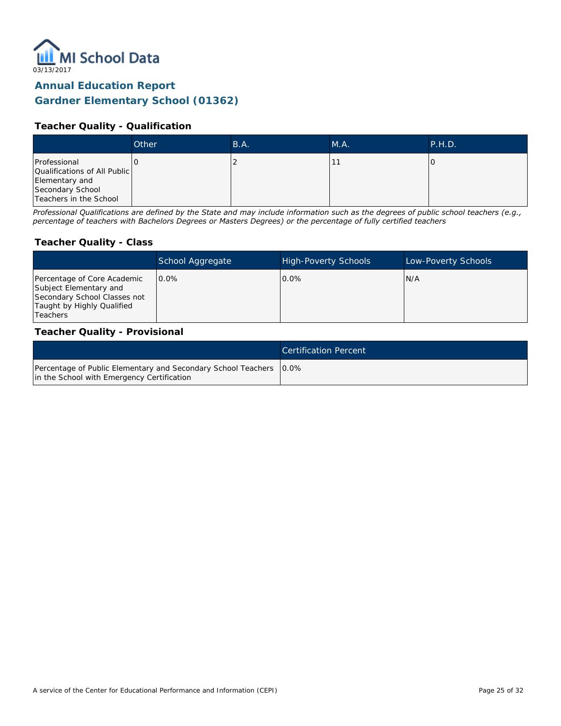

### **Teacher Quality - Qualification**

|                                                                                                              | Other | B.A. | M.A. | P.H.D. |
|--------------------------------------------------------------------------------------------------------------|-------|------|------|--------|
| Professional<br>Qualifications of All Public<br>Elementary and<br>Secondary School<br>Teachers in the School |       |      |      |        |

*Professional Qualifications are defined by the State and may include information such as the degrees of public school teachers (e.g., percentage of teachers with Bachelors Degrees or Masters Degrees) or the percentage of fully certified teachers*

#### **Teacher Quality - Class**

|                                                                                                                                        | School Aggregate | <b>High-Poverty Schools</b> | Low-Poverty Schools |
|----------------------------------------------------------------------------------------------------------------------------------------|------------------|-----------------------------|---------------------|
| Percentage of Core Academic<br>Subject Elementary and<br>Secondary School Classes not<br>Taught by Highly Qualified<br><b>Teachers</b> | $0.0\%$          | $0.0\%$                     | N/A                 |

#### **Teacher Quality - Provisional**

|                                                                                                                    | <b>Certification Percent</b> |
|--------------------------------------------------------------------------------------------------------------------|------------------------------|
| Percentage of Public Elementary and Secondary School Teachers   0.0%<br>in the School with Emergency Certification |                              |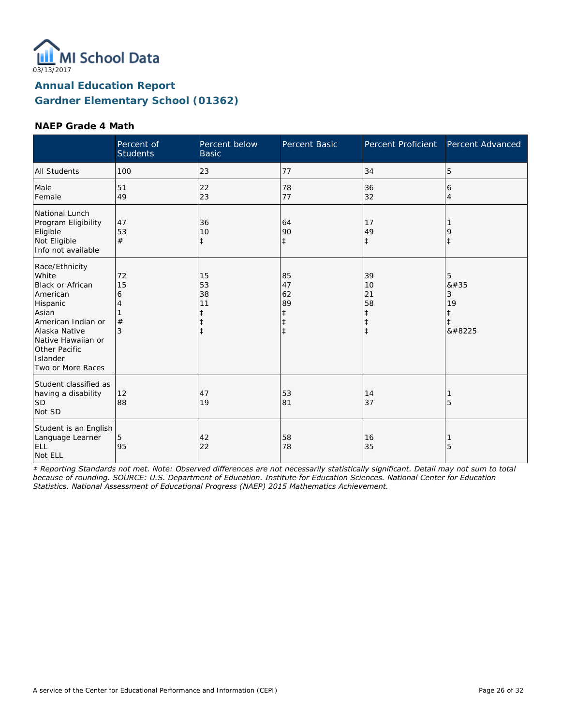

#### **NAEP Grade 4 Math**

|                                                                                                                                                                                                    | Percent of<br><b>Students</b> | Percent below<br><b>Basic</b>                         | <b>Percent Basic</b>                                  | Percent Proficient                                             | Percent Advanced                             |
|----------------------------------------------------------------------------------------------------------------------------------------------------------------------------------------------------|-------------------------------|-------------------------------------------------------|-------------------------------------------------------|----------------------------------------------------------------|----------------------------------------------|
| <b>All Students</b>                                                                                                                                                                                | 100                           | 23                                                    | 77                                                    | 34                                                             | 5                                            |
| Male<br>Female                                                                                                                                                                                     | 51<br>49                      | 22<br>23                                              | 78<br>77                                              | 36<br>32                                                       | 6<br>4                                       |
| National Lunch<br>Program Eligibility<br>Eligible<br>Not Eligible<br>Info not available                                                                                                            | 47<br>53<br>#                 | 36<br>10<br>$\ddagger$                                | 64<br>90<br>$\ddagger$                                | 17<br>49<br>$\ddagger$                                         | 9<br>$\ddagger$                              |
| Race/Ethnicity<br>White<br><b>Black or African</b><br>American<br>Hispanic<br>Asian<br>American Indian or<br>Alaska Native<br>Native Hawaiian or<br>Other Pacific<br>Islander<br>Two or More Races | 72<br>15<br>6<br>4<br>#<br>3  | 15<br>53<br>38<br>11<br>$\ddagger$<br>ŧ<br>$\ddagger$ | 85<br>47<br>62<br>89<br>ŧ<br>$\ddagger$<br>$\ddagger$ | 39<br>10<br>21<br>58<br>$\ddagger$<br>$\ddagger$<br>$\ddagger$ | 5<br>8#35<br>3<br>19<br>ŧ<br>$\ddagger$<br>‡ |
| Student classified as<br>having a disability<br><b>SD</b><br>Not SD                                                                                                                                | 12<br>88                      | 47<br>19                                              | 53<br>81                                              | 14<br>37                                                       | 5                                            |
| Student is an English<br>Language Learner<br>ELL<br>Not ELL                                                                                                                                        | 5<br>95                       | 42<br>22                                              | 58<br>78                                              | 16<br>35                                                       | 5                                            |

*‡ Reporting Standards not met. Note: Observed differences are not necessarily statistically significant. Detail may not sum to total because of rounding. SOURCE: U.S. Department of Education. Institute for Education Sciences. National Center for Education Statistics. National Assessment of Educational Progress (NAEP) 2015 Mathematics Achievement.*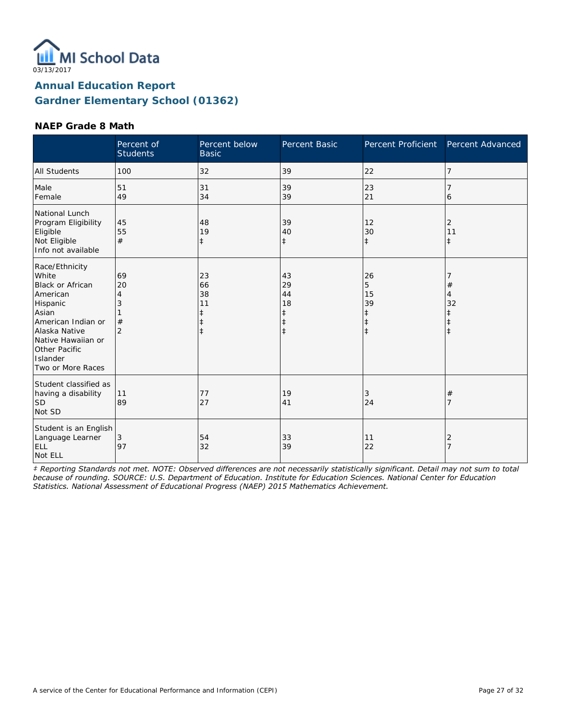

### **NAEP Grade 8 Math**

|                                                                                                                                                                                                    | Percent of<br><b>Students</b>             | Percent below<br><b>Basic</b>                         | Percent Basic                                         | Percent Proficient                              | Percent Advanced   |
|----------------------------------------------------------------------------------------------------------------------------------------------------------------------------------------------------|-------------------------------------------|-------------------------------------------------------|-------------------------------------------------------|-------------------------------------------------|--------------------|
| <b>All Students</b>                                                                                                                                                                                | 100                                       | 32                                                    | 39                                                    | 22                                              | 7                  |
| Male<br>Female                                                                                                                                                                                     | 51<br>49                                  | 31<br>34                                              | 39<br>39                                              | 23<br>21                                        | 6                  |
| National Lunch<br>Program Eligibility<br>Eligible<br>Not Eligible<br>Info not available                                                                                                            | 45<br>55<br>#                             | 48<br>19<br>ŧ                                         | 39<br>40<br>$\ddagger$                                | 12<br>30<br>$\ddagger$                          | 2<br>11<br>$\pm$   |
| Race/Ethnicity<br>White<br><b>Black or African</b><br>American<br>Hispanic<br>Asian<br>American Indian or<br>Alaska Native<br>Native Hawaiian or<br>Other Pacific<br>Islander<br>Two or More Races | 69<br>20<br>4<br>3<br>#<br>$\overline{2}$ | 23<br>66<br>38<br>11<br>ŧ<br>$\ddagger$<br>$\ddagger$ | 43<br>29<br>44<br>18<br>ŧ<br>$\ddagger$<br>$\ddagger$ | 26<br>5<br>15<br>39<br>$\ddagger$<br>$\ddagger$ | $^{\#}$<br>4<br>32 |
| Student classified as<br>having a disability<br><b>SD</b><br>Not SD                                                                                                                                | 11<br>89                                  | 77<br>27                                              | 19<br>41                                              | 3<br>24                                         | $^{\#}$<br>7       |
| Student is an English<br>Language Learner<br>ELL<br>Not ELL                                                                                                                                        | 3<br>97                                   | 54<br>32                                              | 33<br>39                                              | 11<br>22                                        | 2<br>7             |

*‡ Reporting Standards not met. NOTE: Observed differences are not necessarily statistically significant. Detail may not sum to total because of rounding. SOURCE: U.S. Department of Education. Institute for Education Sciences. National Center for Education Statistics. National Assessment of Educational Progress (NAEP) 2015 Mathematics Achievement.*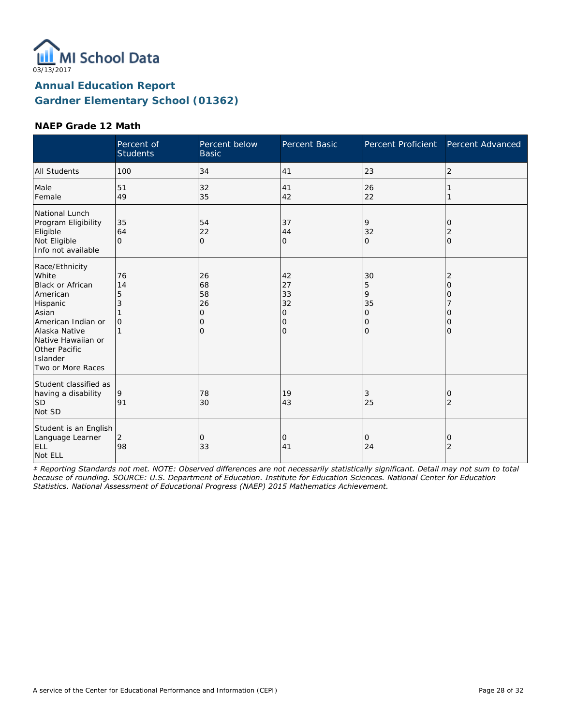

### **NAEP Grade 12 Math**

|                                                                                                                                                                                                    | Percent of<br><b>Students</b>  | Percent below<br><b>Basic</b>                   | Percent Basic                                            | Percent Proficient                                                   | Percent Advanced                                      |
|----------------------------------------------------------------------------------------------------------------------------------------------------------------------------------------------------|--------------------------------|-------------------------------------------------|----------------------------------------------------------|----------------------------------------------------------------------|-------------------------------------------------------|
| <b>All Students</b>                                                                                                                                                                                | 100                            | 34                                              | 41                                                       | 23                                                                   | $\overline{2}$                                        |
| Male<br>Female                                                                                                                                                                                     | 51<br>49                       | 32<br>35                                        | 41<br>42                                                 | 26<br>22                                                             |                                                       |
| National Lunch<br>Program Eligibility<br>Eligible<br>Not Eligible<br>Info not available                                                                                                            | 35<br>64<br>$\Omega$           | 54<br>22<br>$\overline{O}$                      | 37<br>44<br>0                                            | 9<br>32<br>$\Omega$                                                  | 0<br>2<br>$\overline{O}$                              |
| Race/Ethnicity<br>White<br><b>Black or African</b><br>American<br>Hispanic<br>Asian<br>American Indian or<br>Alaska Native<br>Native Hawaiian or<br>Other Pacific<br>Islander<br>Two or More Races | 76<br>14<br>5<br>3<br>$\Omega$ | 26<br>68<br>58<br>26<br>0<br>0<br>$\mathcal{O}$ | 42<br>27<br>33<br>32<br>0<br>$\mathbf 0$<br>$\mathbf{O}$ | 30<br>5<br>9<br>35<br>$\mathcal{O}$<br>$\mathbf 0$<br>$\overline{O}$ | $\overline{2}$<br>$\Omega$<br>0<br>Ω<br>0<br>$\Omega$ |
| Student classified as<br>having a disability<br><b>SD</b><br>Not SD                                                                                                                                | 9<br>91                        | 78<br>30                                        | 19<br>43                                                 | 3<br>25                                                              | 0<br>2                                                |
| Student is an English<br>Language Learner<br>ELL<br>Not ELL                                                                                                                                        | 2<br>98                        | 0<br>33                                         | 0<br>41                                                  | 0<br>24                                                              | 0<br>$\overline{2}$                                   |

*‡ Reporting Standards not met. NOTE: Observed differences are not necessarily statistically significant. Detail may not sum to total because of rounding. SOURCE: U.S. Department of Education. Institute for Education Sciences. National Center for Education Statistics. National Assessment of Educational Progress (NAEP) 2015 Mathematics Achievement.*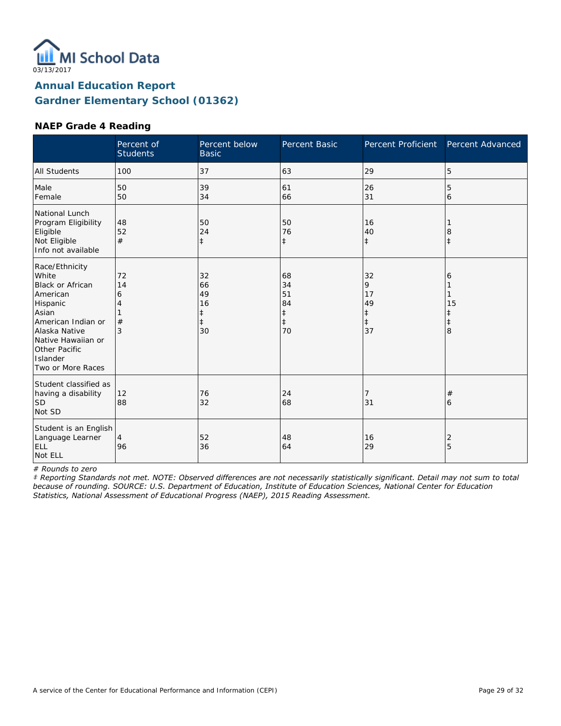

### **NAEP Grade 4 Reading**

|                                                                                                                                                                                                    | Percent of<br><b>Students</b> | Percent below<br><b>Basic</b>                 | Percent Basic                                          | <b>Percent Proficient</b>                    | Percent Advanced                |
|----------------------------------------------------------------------------------------------------------------------------------------------------------------------------------------------------|-------------------------------|-----------------------------------------------|--------------------------------------------------------|----------------------------------------------|---------------------------------|
| <b>All Students</b>                                                                                                                                                                                | 100                           | 37                                            | 63                                                     | 29                                           | 5                               |
| Male<br>Female                                                                                                                                                                                     | 50<br>50                      | 39<br>34                                      | 61<br>66                                               | 26<br>31                                     | 5<br>6                          |
| National Lunch<br>Program Eligibility<br>Eligible<br>Not Eligible<br>Info not available                                                                                                            | 48<br>52<br>#                 | 50<br>24<br>$\ddagger$                        | 50<br>76<br>$\ddagger$                                 | 16<br>40<br>$\ddagger$                       | 8                               |
| Race/Ethnicity<br>White<br><b>Black or African</b><br>American<br>Hispanic<br>Asian<br>American Indian or<br>Alaska Native<br>Native Hawaiian or<br>Other Pacific<br>Islander<br>Two or More Races | 72<br>14<br>6<br>4<br>#<br>3  | 32<br>66<br>49<br>16<br>ŧ<br>$\ddagger$<br>30 | 68<br>34<br>51<br>84<br>$\ddagger$<br>$\ddagger$<br>70 | 32<br>9<br>17<br>49<br>‡<br>$\ddagger$<br>37 | 6<br>15<br>ŧ<br>$\ddagger$<br>8 |
| Student classified as<br>having a disability<br><b>SD</b><br>Not SD                                                                                                                                | 12<br>88                      | 76<br>32                                      | 24<br>68                                               | 7<br>31                                      | #<br>6                          |
| Student is an English<br>Language Learner<br>ELL<br>Not ELL                                                                                                                                        | 4<br>96                       | 52<br>36                                      | 48<br>64                                               | 16<br>29                                     | 2<br>5                          |

*# Rounds to zero*

*‡ Reporting Standards not met. NOTE: Observed differences are not necessarily statistically significant. Detail may not sum to total because of rounding. SOURCE: U.S. Department of Education, Institute of Education Sciences, National Center for Education Statistics, National Assessment of Educational Progress (NAEP), 2015 Reading Assessment.*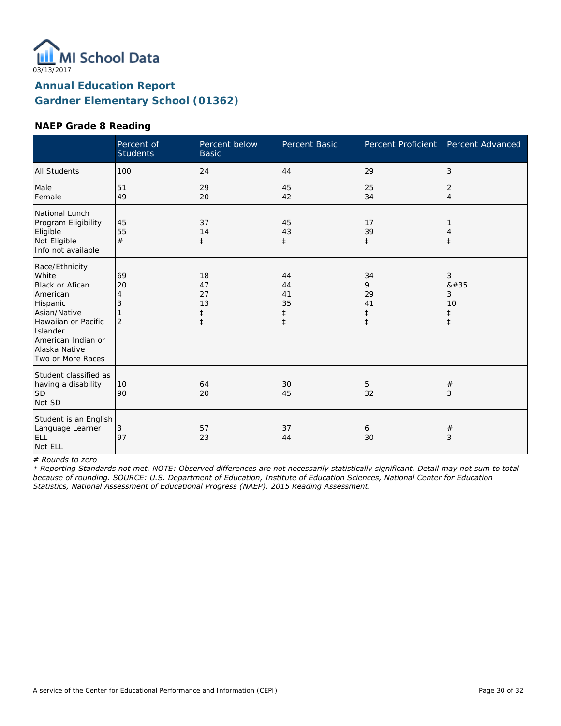

### **NAEP Grade 8 Reading**

|                                                                                                                                                                                          | Percent of<br><b>Students</b>        | Percent below<br><b>Basic</b>                    | Percent Basic                                    | Percent Proficient                              | Percent Advanced                        |
|------------------------------------------------------------------------------------------------------------------------------------------------------------------------------------------|--------------------------------------|--------------------------------------------------|--------------------------------------------------|-------------------------------------------------|-----------------------------------------|
| <b>All Students</b>                                                                                                                                                                      | 100                                  | 24                                               | 44                                               | 29                                              | 3                                       |
| Male<br>Female                                                                                                                                                                           | 51<br>49                             | 29<br>20                                         | 45<br>42                                         | 25<br>34                                        | 2<br>$\overline{4}$                     |
| National Lunch<br>Program Eligibility<br>Eligible<br>Not Eligible<br>Info not available                                                                                                  | 45<br>55<br>#                        | 37<br>14<br>$\ddagger$                           | 45<br>43<br>$\ddagger$                           | 17<br>39<br>$\ddagger$                          | $\ddagger$                              |
| Race/Ethnicity<br>White<br><b>Black or Afican</b><br>American<br>Hispanic<br>Asian/Native<br>Hawaiian or Pacific<br>Islander<br>American Indian or<br>Alaska Native<br>Two or More Races | 69<br>20<br>4<br>3<br>$\overline{2}$ | 18<br>47<br>27<br>13<br>$\ddagger$<br>$\ddagger$ | 44<br>44<br>41<br>35<br>$\ddagger$<br>$\ddagger$ | 34<br>9<br>29<br>41<br>$\ddagger$<br>$\ddagger$ | 3<br>8#35<br>3<br>10<br>ŧ<br>$\ddagger$ |
| Student classified as<br>having a disability<br>lsd<br>Not SD                                                                                                                            | 10<br>90                             | 64<br>20                                         | 30<br>45                                         | 5<br>32                                         | #<br>3                                  |
| Student is an English<br>Language Learner<br>ELL<br>Not ELL                                                                                                                              | 3<br>97                              | 57<br>23                                         | 37<br>44                                         | 6<br>30                                         | $^{\#}$<br>3                            |

*# Rounds to zero*

*‡ Reporting Standards not met. NOTE: Observed differences are not necessarily statistically significant. Detail may not sum to total because of rounding. SOURCE: U.S. Department of Education, Institute of Education Sciences, National Center for Education Statistics, National Assessment of Educational Progress (NAEP), 2015 Reading Assessment.*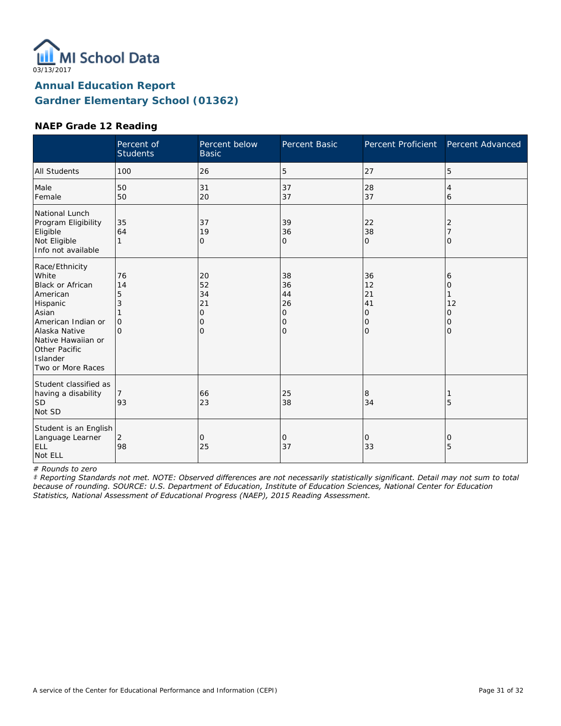

### **NAEP Grade 12 Reading**

|                                                                                                                                                                                             | Percent of<br><b>Students</b>              | Percent below<br><b>Basic</b>                    | Percent Basic                                    | <b>Percent Proficient</b>            | Percent Advanced                   |
|---------------------------------------------------------------------------------------------------------------------------------------------------------------------------------------------|--------------------------------------------|--------------------------------------------------|--------------------------------------------------|--------------------------------------|------------------------------------|
| <b>All Students</b>                                                                                                                                                                         | 100                                        | 26                                               | 5                                                | 27                                   | 5                                  |
| Male<br>Female                                                                                                                                                                              | 50<br>50                                   | 31<br>20                                         | 37<br>37                                         | 28<br>37                             | 4<br>6                             |
| National Lunch<br>Program Eligibility<br>Eligible<br>Not Eligible<br>Info not available                                                                                                     | 35<br>64<br>1                              | 37<br>19<br>$\mathbf{O}$                         | 39<br>36<br>O                                    | 22<br>38<br>$\mathbf 0$              | 2<br>O                             |
| Race/Ethnicity<br>White<br>Black or African<br>American<br>Hispanic<br>Asian<br>American Indian or<br>Alaska Native<br>Native Hawaiian or<br>Other Pacific<br>Islander<br>Two or More Races | 76<br>14<br>5<br>3<br>$\Omega$<br>$\Omega$ | 20<br>52<br>34<br>21<br>0<br>0<br>$\overline{O}$ | 38<br>36<br>44<br>26<br>0<br>0<br>$\overline{O}$ | 36<br>12<br>21<br>41<br>0<br>0<br>lo | 6<br>0<br>12<br>0<br>0<br>$\Omega$ |
| Student classified as<br>having a disability<br><b>SD</b><br>Not SD                                                                                                                         | 93                                         | 66<br>23                                         | 25<br>38                                         | 8<br>34                              | 5                                  |
| Student is an English<br>Language Learner<br>ELL<br>Not ELL                                                                                                                                 | 2<br>98                                    | 0<br>25                                          | 0<br>37                                          | 0<br>33                              | 0<br>5                             |

*# Rounds to zero*

*‡ Reporting Standards not met. NOTE: Observed differences are not necessarily statistically significant. Detail may not sum to total because of rounding. SOURCE: U.S. Department of Education, Institute of Education Sciences, National Center for Education Statistics, National Assessment of Educational Progress (NAEP), 2015 Reading Assessment.*